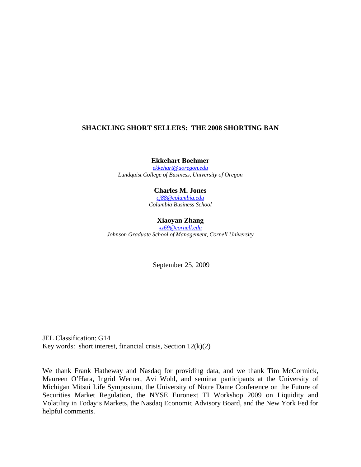# **SHACKLING SHORT SELLERS: THE 2008 SHORTING BAN**

**Ekkehart Boehmer** 

*[ekkehart@uoregon.edu](mailto:ekkehart@uoregon.edu) Lundquist College of Business, University of Oregon* 

# **Charles M. Jones**

*[cj88@columbia.edu](mailto:cj88@columbia.edu) Columbia Business School* 

# **Xiaoyan Zhang**

*[xz69@cornell.edu](mailto:xz69@cornell.edu) Johnson Graduate School of Management, Cornell University* 

September 25, 2009

JEL Classification: G14 Key words: short interest, financial crisis, Section  $12(k)(2)$ 

We thank Frank Hatheway and Nasdaq for providing data, and we thank Tim McCormick, Maureen O'Hara, Ingrid Werner, Avi Wohl, and seminar participants at the University of Michigan Mitsui Life Symposium, the University of Notre Dame Conference on the Future of Securities Market Regulation, the NYSE Euronext TI Workshop 2009 on Liquidity and Volatility in Today's Markets, the Nasdaq Economic Advisory Board, and the New York Fed for helpful comments.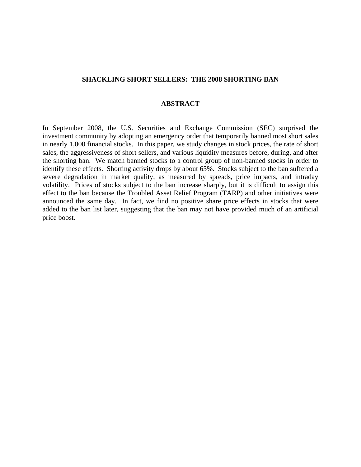# **SHACKLING SHORT SELLERS: THE 2008 SHORTING BAN**

# **ABSTRACT**

In September 2008, the U.S. Securities and Exchange Commission (SEC) surprised the investment community by adopting an emergency order that temporarily banned most short sales in nearly 1,000 financial stocks. In this paper, we study changes in stock prices, the rate of short sales, the aggressiveness of short sellers, and various liquidity measures before, during, and after the shorting ban. We match banned stocks to a control group of non-banned stocks in order to identify these effects. Shorting activity drops by about 65%. Stocks subject to the ban suffered a severe degradation in market quality, as measured by spreads, price impacts, and intraday volatility. Prices of stocks subject to the ban increase sharply, but it is difficult to assign this effect to the ban because the Troubled Asset Relief Program (TARP) and other initiatives were announced the same day. In fact, we find no positive share price effects in stocks that were added to the ban list later, suggesting that the ban may not have provided much of an artificial price boost.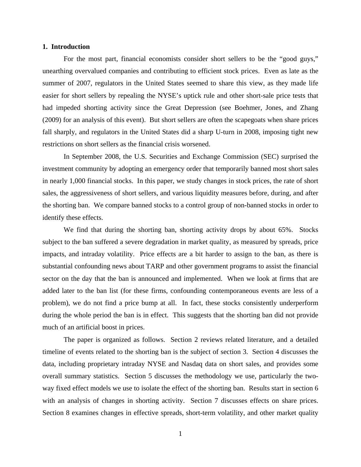### **1. Introduction**

For the most part, financial economists consider short sellers to be the "good guys," unearthing overvalued companies and contributing to efficient stock prices. Even as late as the summer of 2007, regulators in the United States seemed to share this view, as they made life easier for short sellers by repealing the NYSE's uptick rule and other short-sale price tests that had impeded shorting activity since the Great Depression (see Boehmer, Jones, and Zhang (2009) for an analysis of this event). But short sellers are often the scapegoats when share prices fall sharply, and regulators in the United States did a sharp U-turn in 2008, imposing tight new restrictions on short sellers as the financial crisis worsened.

In September 2008, the U.S. Securities and Exchange Commission (SEC) surprised the investment community by adopting an emergency order that temporarily banned most short sales in nearly 1,000 financial stocks. In this paper, we study changes in stock prices, the rate of short sales, the aggressiveness of short sellers, and various liquidity measures before, during, and after the shorting ban. We compare banned stocks to a control group of non-banned stocks in order to identify these effects.

We find that during the shorting ban, shorting activity drops by about 65%. Stocks subject to the ban suffered a severe degradation in market quality, as measured by spreads, price impacts, and intraday volatility. Price effects are a bit harder to assign to the ban, as there is substantial confounding news about TARP and other government programs to assist the financial sector on the day that the ban is announced and implemented. When we look at firms that are added later to the ban list (for these firms, confounding contemporaneous events are less of a problem), we do not find a price bump at all. In fact, these stocks consistently underperform during the whole period the ban is in effect. This suggests that the shorting ban did not provide much of an artificial boost in prices.

The paper is organized as follows. Section 2 reviews related literature, and a detailed timeline of events related to the shorting ban is the subject of section 3. Section 4 discusses the data, including proprietary intraday NYSE and Nasdaq data on short sales, and provides some overall summary statistics. Section 5 discusses the methodology we use, particularly the twoway fixed effect models we use to isolate the effect of the shorting ban. Results start in section 6 with an analysis of changes in shorting activity. Section 7 discusses effects on share prices. Section 8 examines changes in effective spreads, short-term volatility, and other market quality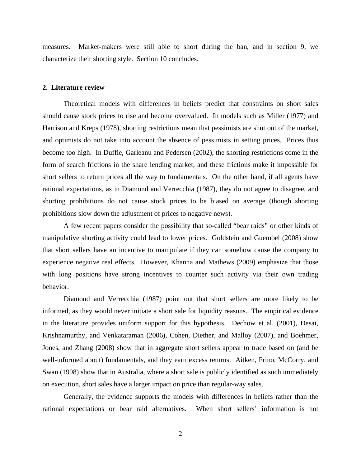measures. Market-makers were still able to short during the ban, and in section 9, we characterize their shorting style. Section 10 concludes.

#### **2. Literature review**

Theoretical models with differences in beliefs predict that constraints on short sales should cause stock prices to rise and become overvalued. In models such as Miller (1977) and Harrison and Kreps (1978), shorting restrictions mean that pessimists are shut out of the market, and optimists do not take into account the absence of pessimists in setting prices. Prices thus become too high. In Duffie, Garleanu and Pedersen (2002), the shorting restrictions come in the form of search frictions in the share lending market, and these frictions make it impossible for short sellers to return prices all the way to fundamentals. On the other hand, if all agents have rational expectations, as in Diamond and Verrecchia (1987), they do not agree to disagree, and shorting prohibitions do not cause stock prices to be biased on average (though shorting prohibitions slow down the adjustment of prices to negative news).

A few recent papers consider the possibility that so-called "bear raids" or other kinds of manipulative shorting activity could lead to lower prices. Goldstein and Guembel (2008) show that short sellers have an incentive to manipulate if they can somehow cause the company to experience negative real effects. However, Khanna and Mathews (2009) emphasize that those with long positions have strong incentives to counter such activity via their own trading behavior.

Diamond and Verrecchia (1987) point out that short sellers are more likely to be informed, as they would never initiate a short sale for liquidity reasons. The empirical evidence in the literature provides uniform support for this hypothesis. Dechow et al. (2001), Desai, Krishnamurthy, and Venkataraman (2006), Cohen, Diether, and Malloy (2007), and Boehmer, Jones, and Zhang (2008) show that in aggregate short sellers appear to trade based on (and be well-informed about) fundamentals, and they earn excess returns. Aitken, Frino, McCorry, and Swan (1998) show that in Australia, where a short sale is publicly identified as such immediately on execution, short sales have a larger impact on price than regular-way sales.

Generally, the evidence supports the models with differences in beliefs rather than the rational expectations or bear raid alternatives. When short sellers' information is not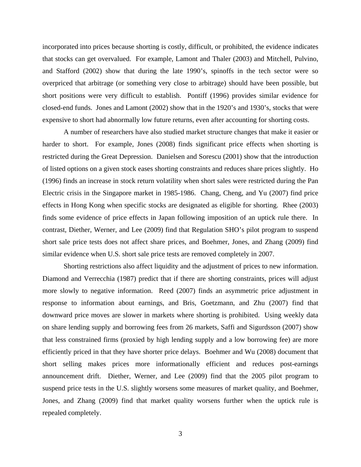incorporated into prices because shorting is costly, difficult, or prohibited, the evidence indicates that stocks can get overvalued. For example, Lamont and Thaler (2003) and Mitchell, Pulvino, and Stafford (2002) show that during the late 1990's, spinoffs in the tech sector were so overpriced that arbitrage (or something very close to arbitrage) should have been possible, but short positions were very difficult to establish. Pontiff (1996) provides similar evidence for closed-end funds. Jones and Lamont (2002) show that in the 1920's and 1930's, stocks that were expensive to short had abnormally low future returns, even after accounting for shorting costs.

A number of researchers have also studied market structure changes that make it easier or harder to short. For example, Jones (2008) finds significant price effects when shorting is restricted during the Great Depression. Danielsen and Sorescu (2001) show that the introduction of listed options on a given stock eases shorting constraints and reduces share prices slightly. Ho (1996) finds an increase in stock return volatility when short sales were restricted during the Pan Electric crisis in the Singapore market in 1985-1986. Chang, Cheng, and Yu (2007) find price effects in Hong Kong when specific stocks are designated as eligible for shorting. Rhee (2003) finds some evidence of price effects in Japan following imposition of an uptick rule there. In contrast, Diether, Werner, and Lee (2009) find that Regulation SHO's pilot program to suspend short sale price tests does not affect share prices, and Boehmer, Jones, and Zhang (2009) find similar evidence when U.S. short sale price tests are removed completely in 2007.

Shorting restrictions also affect liquidity and the adjustment of prices to new information. Diamond and Verrecchia (1987) predict that if there are shorting constraints, prices will adjust more slowly to negative information. Reed (2007) finds an asymmetric price adjustment in response to information about earnings, and Bris, Goetzmann, and Zhu (2007) find that downward price moves are slower in markets where shorting is prohibited. Using weekly data on share lending supply and borrowing fees from 26 markets, Saffi and Sigurdsson (2007) show that less constrained firms (proxied by high lending supply and a low borrowing fee) are more efficiently priced in that they have shorter price delays. Boehmer and Wu (2008) document that short selling makes prices more informationally efficient and reduces post-earnings announcement drift. Diether, Werner, and Lee (2009) find that the 2005 pilot program to suspend price tests in the U.S. slightly worsens some measures of market quality, and Boehmer, Jones, and Zhang (2009) find that market quality worsens further when the uptick rule is repealed completely.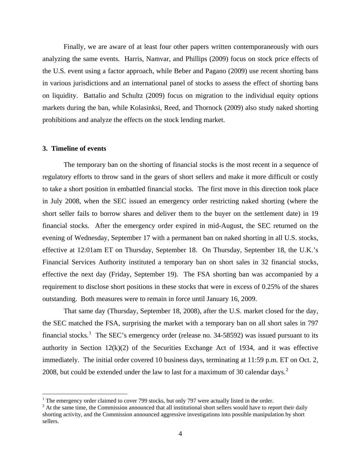Finally, we are aware of at least four other papers written contemporaneously with ours analyzing the same events. Harris, Namvar, and Phillips (2009) focus on stock price effects of the U.S. event using a factor approach, while Beber and Pagano (2009) use recent shorting bans in various jurisdictions and an international panel of stocks to assess the effect of shorting bans on liquidity. Battalio and Schultz (2009) focus on migration to the individual equity options markets during the ban, while Kolasinksi, Reed, and Thornock (2009) also study naked shorting prohibitions and analyze the effects on the stock lending market.

#### **3. Timeline of events**

 $\overline{a}$ 

The temporary ban on the shorting of financial stocks is the most recent in a sequence of regulatory efforts to throw sand in the gears of short sellers and make it more difficult or costly to take a short position in embattled financial stocks. The first move in this direction took place in July 2008, when the SEC issued an emergency order restricting naked shorting (where the short seller fails to borrow shares and deliver them to the buyer on the settlement date) in 19 financial stocks. After the emergency order expired in mid-August, the SEC returned on the evening of Wednesday, September 17 with a permanent ban on naked shorting in all U.S. stocks, effective at 12:01am ET on Thursday, September 18. On Thursday, September 18, the U.K.'s Financial Services Authority instituted a temporary ban on short sales in 32 financial stocks, effective the next day (Friday, September 19). The FSA shorting ban was accompanied by a requirement to disclose short positions in these stocks that were in excess of 0.25% of the shares outstanding. Both measures were to remain in force until January 16, 2009.

That same day (Thursday, September 18, 2008), after the U.S. market closed for the day, the SEC matched the FSA, surprising the market with a temporary ban on all short sales in 797 financial stocks.<sup>[1](#page-5-0)</sup> The SEC's emergency order (release no. 34-58592) was issued pursuant to its authority in Section  $12(k)(2)$  of the Securities Exchange Act of 1934, and it was effective immediately. The initial order covered 10 business days, terminating at 11:59 p.m. ET on Oct. 2, [2](#page-5-1)008, but could be extended under the law to last for a maximum of 30 calendar days.<sup>2</sup>

<span id="page-5-0"></span><sup>&</sup>lt;sup>1</sup> The emergency order claimed to cover 799 stocks, but only 797 were actually listed in the order.

<span id="page-5-1"></span> $2<sup>2</sup>$  At the same time, the Commission announced that all institutional short sellers would have to report their daily shorting activity, and the Commission announced aggressive investigations into possible manipulation by short sellers.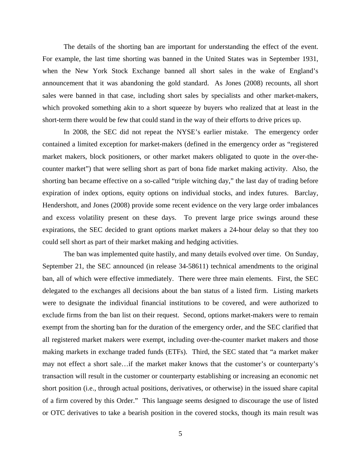The details of the shorting ban are important for understanding the effect of the event. For example, the last time shorting was banned in the United States was in September 1931, when the New York Stock Exchange banned all short sales in the wake of England's announcement that it was abandoning the gold standard. As Jones (2008) recounts, all short sales were banned in that case, including short sales by specialists and other market-makers, which provoked something akin to a short squeeze by buyers who realized that at least in the short-term there would be few that could stand in the way of their efforts to drive prices up.

In 2008, the SEC did not repeat the NYSE's earlier mistake. The emergency order contained a limited exception for market-makers (defined in the emergency order as "registered market makers, block positioners, or other market makers obligated to quote in the over-thecounter market") that were selling short as part of bona fide market making activity. Also, the shorting ban became effective on a so-called "triple witching day," the last day of trading before expiration of index options, equity options on individual stocks, and index futures. Barclay, Hendershott, and Jones (2008) provide some recent evidence on the very large order imbalances and excess volatility present on these days. To prevent large price swings around these expirations, the SEC decided to grant options market makers a 24-hour delay so that they too could sell short as part of their market making and hedging activities.

The ban was implemented quite hastily, and many details evolved over time. On Sunday, September 21, the SEC announced (in release 34-58611) technical amendments to the original ban, all of which were effective immediately. There were three main elements. First, the SEC delegated to the exchanges all decisions about the ban status of a listed firm. Listing markets were to designate the individual financial institutions to be covered, and were authorized to exclude firms from the ban list on their request. Second, options market-makers were to remain exempt from the shorting ban for the duration of the emergency order, and the SEC clarified that all registered market makers were exempt, including over-the-counter market makers and those making markets in exchange traded funds (ETFs). Third, the SEC stated that "a market maker may not effect a short sale…if the market maker knows that the customer's or counterparty's transaction will result in the customer or counterparty establishing or increasing an economic net short position (i.e., through actual positions, derivatives, or otherwise) in the issued share capital of a firm covered by this Order." This language seems designed to discourage the use of listed or OTC derivatives to take a bearish position in the covered stocks, though its main result was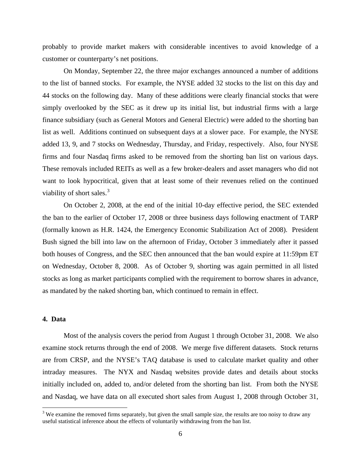probably to provide market makers with considerable incentives to avoid knowledge of a customer or counterparty's net positions.

On Monday, September 22, the three major exchanges announced a number of additions to the list of banned stocks. For example, the NYSE added 32 stocks to the list on this day and 44 stocks on the following day. Many of these additions were clearly financial stocks that were simply overlooked by the SEC as it drew up its initial list, but industrial firms with a large finance subsidiary (such as General Motors and General Electric) were added to the shorting ban list as well. Additions continued on subsequent days at a slower pace. For example, the NYSE added 13, 9, and 7 stocks on Wednesday, Thursday, and Friday, respectively. Also, four NYSE firms and four Nasdaq firms asked to be removed from the shorting ban list on various days. These removals included REITs as well as a few broker-dealers and asset managers who did not want to look hypocritical, given that at least some of their revenues relied on the continued viability of short sales. $3$ 

On October 2, 2008, at the end of the initial 10-day effective period, the SEC extended the ban to the earlier of October 17, 2008 or three business days following enactment of TARP (formally known as H.R. 1424, the Emergency Economic Stabilization Act of 2008). President Bush signed the bill into law on the afternoon of Friday, October 3 immediately after it passed both houses of Congress, and the SEC then announced that the ban would expire at 11:59pm ET on Wednesday, October 8, 2008. As of October 9, shorting was again permitted in all listed stocks as long as market participants complied with the requirement to borrow shares in advance, as mandated by the naked shorting ban, which continued to remain in effect.

### **4. Data**

1

Most of the analysis covers the period from August 1 through October 31, 2008. We also examine stock returns through the end of 2008. We merge five different datasets. Stock returns are from CRSP, and the NYSE's TAQ database is used to calculate market quality and other intraday measures. The NYX and Nasdaq websites provide dates and details about stocks initially included on, added to, and/or deleted from the shorting ban list. From both the NYSE and Nasdaq, we have data on all executed short sales from August 1, 2008 through October 31,

<span id="page-7-0"></span> $3$  We examine the removed firms separately, but given the small sample size, the results are too noisy to draw any useful statistical inference about the effects of voluntarily withdrawing from the ban list.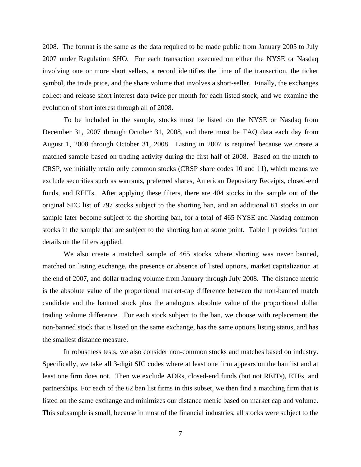2008. The format is the same as the data required to be made public from January 2005 to July 2007 under Regulation SHO. For each transaction executed on either the NYSE or Nasdaq involving one or more short sellers, a record identifies the time of the transaction, the ticker symbol, the trade price, and the share volume that involves a short-seller. Finally, the exchanges collect and release short interest data twice per month for each listed stock, and we examine the evolution of short interest through all of 2008.

To be included in the sample, stocks must be listed on the NYSE or Nasdaq from December 31, 2007 through October 31, 2008, and there must be TAQ data each day from August 1, 2008 through October 31, 2008. Listing in 2007 is required because we create a matched sample based on trading activity during the first half of 2008. Based on the match to CRSP, we initially retain only common stocks (CRSP share codes 10 and 11), which means we exclude securities such as warrants, preferred shares, American Depositary Receipts, closed-end funds, and REITs. After applying these filters, there are 404 stocks in the sample out of the original SEC list of 797 stocks subject to the shorting ban, and an additional 61 stocks in our sample later become subject to the shorting ban, for a total of 465 NYSE and Nasdaq common stocks in the sample that are subject to the shorting ban at some point. Table 1 provides further details on the filters applied.

 We also create a matched sample of 465 stocks where shorting was never banned, matched on listing exchange, the presence or absence of listed options, market capitalization at the end of 2007, and dollar trading volume from January through July 2008. The distance metric is the absolute value of the proportional market-cap difference between the non-banned match candidate and the banned stock plus the analogous absolute value of the proportional dollar trading volume difference. For each stock subject to the ban, we choose with replacement the non-banned stock that is listed on the same exchange, has the same options listing status, and has the smallest distance measure.

In robustness tests, we also consider non-common stocks and matches based on industry. Specifically, we take all 3-digit SIC codes where at least one firm appears on the ban list and at least one firm does not. Then we exclude ADRs, closed-end funds (but not REITs), ETFs, and partnerships. For each of the 62 ban list firms in this subset, we then find a matching firm that is listed on the same exchange and minimizes our distance metric based on market cap and volume. This subsample is small, because in most of the financial industries, all stocks were subject to the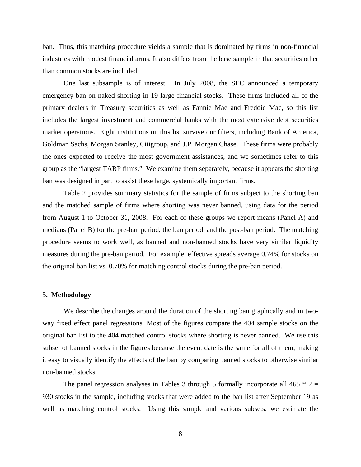ban. Thus, this matching procedure yields a sample that is dominated by firms in non-financial industries with modest financial arms. It also differs from the base sample in that securities other than common stocks are included.

One last subsample is of interest. In July 2008, the SEC announced a temporary emergency ban on naked shorting in 19 large financial stocks. These firms included all of the primary dealers in Treasury securities as well as Fannie Mae and Freddie Mac, so this list includes the largest investment and commercial banks with the most extensive debt securities market operations. Eight institutions on this list survive our filters, including Bank of America, Goldman Sachs, Morgan Stanley, Citigroup, and J.P. Morgan Chase. These firms were probably the ones expected to receive the most government assistances, and we sometimes refer to this group as the "largest TARP firms." We examine them separately, because it appears the shorting ban was designed in part to assist these large, systemically important firms.

Table 2 provides summary statistics for the sample of firms subject to the shorting ban and the matched sample of firms where shorting was never banned, using data for the period from August 1 to October 31, 2008. For each of these groups we report means (Panel A) and medians (Panel B) for the pre-ban period, the ban period, and the post-ban period. The matching procedure seems to work well, as banned and non-banned stocks have very similar liquidity measures during the pre-ban period. For example, effective spreads average 0.74% for stocks on the original ban list vs. 0.70% for matching control stocks during the pre-ban period.

#### **5. Methodology**

We describe the changes around the duration of the shorting ban graphically and in twoway fixed effect panel regressions. Most of the figures compare the 404 sample stocks on the original ban list to the 404 matched control stocks where shorting is never banned. We use this subset of banned stocks in the figures because the event date is the same for all of them, making it easy to visually identify the effects of the ban by comparing banned stocks to otherwise similar non-banned stocks.

The panel regression analyses in Tables 3 through 5 formally incorporate all 465  $*$  2 = 930 stocks in the sample, including stocks that were added to the ban list after September 19 as well as matching control stocks. Using this sample and various subsets, we estimate the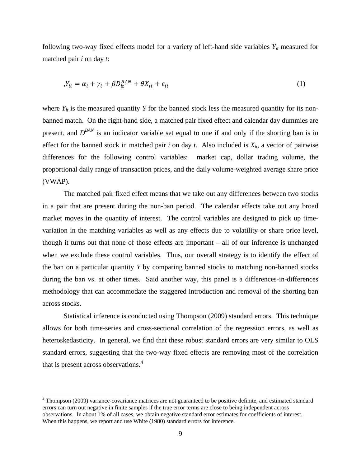following two-way fixed effects model for a variety of left-hand side variables  $Y_{it}$  measured for matched pair *i* on day *t*:

$$
Y_{it} = \alpha_i + \gamma_t + \beta D_{it}^{BAN} + \theta X_{it} + \varepsilon_{it}
$$
\n<sup>(1)</sup>

where  $Y_{it}$  is the measured quantity *Y* for the banned stock less the measured quantity for its nonbanned match. On the right-hand side, a matched pair fixed effect and calendar day dummies are present, and  $D^{BAN}$  is an indicator variable set equal to one if and only if the shorting ban is in effect for the banned stock in matched pair *i* on day *t*. Also included is  $X_{it}$ , a vector of pairwise differences for the following control variables: market cap, dollar trading volume, the proportional daily range of transaction prices, and the daily volume-weighted average share price (VWAP).

The matched pair fixed effect means that we take out any differences between two stocks in a pair that are present during the non-ban period. The calendar effects take out any broad market moves in the quantity of interest. The control variables are designed to pick up timevariation in the matching variables as well as any effects due to volatility or share price level, though it turns out that none of those effects are important – all of our inference is unchanged when we exclude these control variables. Thus, our overall strategy is to identify the effect of the ban on a particular quantity *Y* by comparing banned stocks to matching non-banned stocks during the ban vs. at other times. Said another way, this panel is a differences-in-differences methodology that can accommodate the staggered introduction and removal of the shorting ban across stocks.

Statistical inference is conducted using Thompson (2009) standard errors. This technique allows for both time-series and cross-sectional correlation of the regression errors, as well as heteroskedasticity. In general, we find that these robust standard errors are very similar to OLS standard errors, suggesting that the two-way fixed effects are removing most of the correlation that is present across observations.[4](#page-10-0)

 $\overline{a}$ 

<span id="page-10-0"></span><sup>&</sup>lt;sup>4</sup> Thompson (2009) variance-covariance matrices are not guaranteed to be positive definite, and estimated standard errors can turn out negative in finite samples if the true error terms are close to being independent across observations. In about 1% of all cases, we obtain negative standard error estimates for coefficients of interest. When this happens, we report and use White (1980) standard errors for inference.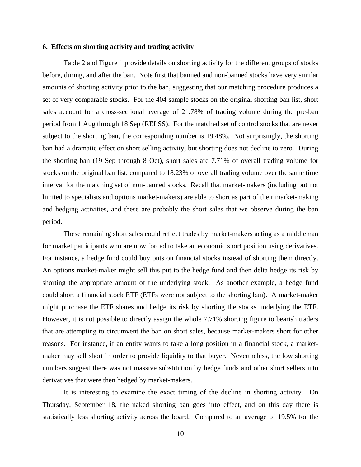### **6. Effects on shorting activity and trading activity**

Table 2 and Figure 1 provide details on shorting activity for the different groups of stocks before, during, and after the ban. Note first that banned and non-banned stocks have very similar amounts of shorting activity prior to the ban, suggesting that our matching procedure produces a set of very comparable stocks. For the 404 sample stocks on the original shorting ban list, short sales account for a cross-sectional average of 21.78% of trading volume during the pre-ban period from 1 Aug through 18 Sep (RELSS). For the matched set of control stocks that are never subject to the shorting ban, the corresponding number is 19.48%. Not surprisingly, the shorting ban had a dramatic effect on short selling activity, but shorting does not decline to zero. During the shorting ban (19 Sep through 8 Oct), short sales are 7.71% of overall trading volume for stocks on the original ban list, compared to 18.23% of overall trading volume over the same time interval for the matching set of non-banned stocks. Recall that market-makers (including but not limited to specialists and options market-makers) are able to short as part of their market-making and hedging activities, and these are probably the short sales that we observe during the ban period.

These remaining short sales could reflect trades by market-makers acting as a middleman for market participants who are now forced to take an economic short position using derivatives. For instance, a hedge fund could buy puts on financial stocks instead of shorting them directly. An options market-maker might sell this put to the hedge fund and then delta hedge its risk by shorting the appropriate amount of the underlying stock. As another example, a hedge fund could short a financial stock ETF (ETFs were not subject to the shorting ban). A market-maker might purchase the ETF shares and hedge its risk by shorting the stocks underlying the ETF. However, it is not possible to directly assign the whole 7.71% shorting figure to bearish traders that are attempting to circumvent the ban on short sales, because market-makers short for other reasons. For instance, if an entity wants to take a long position in a financial stock, a marketmaker may sell short in order to provide liquidity to that buyer. Nevertheless, the low shorting numbers suggest there was not massive substitution by hedge funds and other short sellers into derivatives that were then hedged by market-makers.

It is interesting to examine the exact timing of the decline in shorting activity. On Thursday, September 18, the naked shorting ban goes into effect, and on this day there is statistically less shorting activity across the board. Compared to an average of 19.5% for the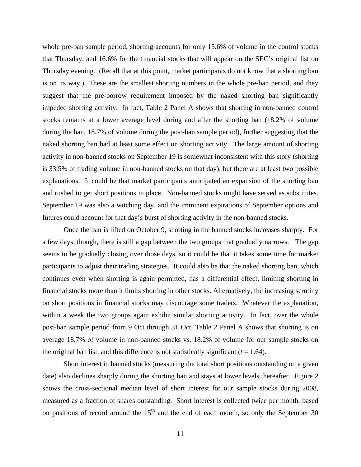whole pre-ban sample period, shorting accounts for only 15.6% of volume in the control stocks that Thursday, and 16.6% for the financial stocks that will appear on the SEC's original list on Thursday evening. (Recall that at this point, market participants do not know that a shorting ban is on its way.) These are the smallest shorting numbers in the whole pre-ban period, and they suggest that the pre-borrow requirement imposed by the naked shorting ban significantly impeded shorting activity. In fact, Table 2 Panel A shows that shorting in non-banned control stocks remains at a lower average level during and after the shorting ban (18.2% of volume during the ban, 18.7% of volume during the post-ban sample period), further suggesting that the naked shorting ban had at least some effect on shorting activity. The large amount of shorting activity in non-banned stocks on September 19 is somewhat inconsistent with this story (shorting is 33.5% of trading volume in non-banned stocks on that day), but there are at least two possible explanations. It could be that market participants anticipated an expansion of the shorting ban and rushed to get short positions in place. Non-banned stocks might have served as substitutes. September 19 was also a witching day, and the imminent expirations of September options and futures could account for that day's burst of shorting activity in the non-banned stocks.

Once the ban is lifted on October 9, shorting in the banned stocks increases sharply. For a few days, though, there is still a gap between the two groups that gradually narrows. The gap seems to be gradually closing over those days, so it could be that it takes some time for market participants to adjust their trading strategies. It could also be that the naked shorting ban, which continues even when shorting is again permitted, has a differential effect, limiting shorting in financial stocks more than it limits shorting in other stocks. Alternatively, the increasing scrutiny on short positions in financial stocks may discourage some traders. Whatever the explanation, within a week the two groups again exhibit similar shorting activity. In fact, over the whole post-ban sample period from 9 Oct through 31 Oct, Table 2 Panel A shows that shorting is on average 18.7% of volume in non-banned stocks vs. 18.2% of volume for our sample stocks on the original ban list, and this difference is not statistically significant  $(t = 1.64)$ .

Short interest in banned stocks (measuring the total short positions outstanding on a given date) also declines sharply during the shorting ban and stays at lower levels thereafter. Figure 2 shows the cross-sectional median level of short interest for our sample stocks during 2008, measured as a fraction of shares outstanding. Short interest is collected twice per month, based on positions of record around the  $15<sup>th</sup>$  and the end of each month, so only the September 30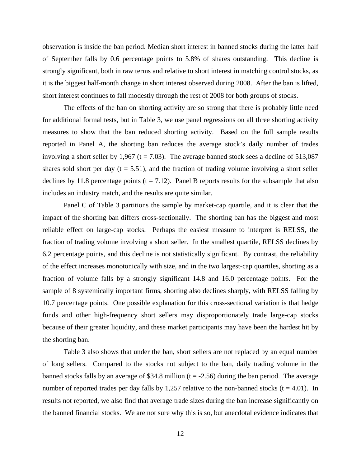observation is inside the ban period. Median short interest in banned stocks during the latter half of September falls by 0.6 percentage points to 5.8% of shares outstanding. This decline is strongly significant, both in raw terms and relative to short interest in matching control stocks, as it is the biggest half-month change in short interest observed during 2008. After the ban is lifted, short interest continues to fall modestly through the rest of 2008 for both groups of stocks.

The effects of the ban on shorting activity are so strong that there is probably little need for additional formal tests, but in Table 3, we use panel regressions on all three shorting activity measures to show that the ban reduced shorting activity. Based on the full sample results reported in Panel A, the shorting ban reduces the average stock's daily number of trades involving a short seller by 1,967 ( $t = 7.03$ ). The average banned stock sees a decline of 513,087 shares sold short per day  $(t = 5.51)$ , and the fraction of trading volume involving a short seller declines by 11.8 percentage points ( $t = 7.12$ ). Panel B reports results for the subsample that also includes an industry match, and the results are quite similar.

Panel C of Table 3 partitions the sample by market-cap quartile, and it is clear that the impact of the shorting ban differs cross-sectionally. The shorting ban has the biggest and most reliable effect on large-cap stocks. Perhaps the easiest measure to interpret is RELSS, the fraction of trading volume involving a short seller. In the smallest quartile, RELSS declines by 6.2 percentage points, and this decline is not statistically significant. By contrast, the reliability of the effect increases monotonically with size, and in the two largest-cap quartiles, shorting as a fraction of volume falls by a strongly significant 14.8 and 16.0 percentage points. For the sample of 8 systemically important firms, shorting also declines sharply, with RELSS falling by 10.7 percentage points. One possible explanation for this cross-sectional variation is that hedge funds and other high-frequency short sellers may disproportionately trade large-cap stocks because of their greater liquidity, and these market participants may have been the hardest hit by the shorting ban.

Table 3 also shows that under the ban, short sellers are not replaced by an equal number of long sellers. Compared to the stocks not subject to the ban, daily trading volume in the banned stocks falls by an average of \$34.8 million ( $t = -2.56$ ) during the ban period. The average number of reported trades per day falls by 1,257 relative to the non-banned stocks ( $t = 4.01$ ). In results not reported, we also find that average trade sizes during the ban increase significantly on the banned financial stocks. We are not sure why this is so, but anecdotal evidence indicates that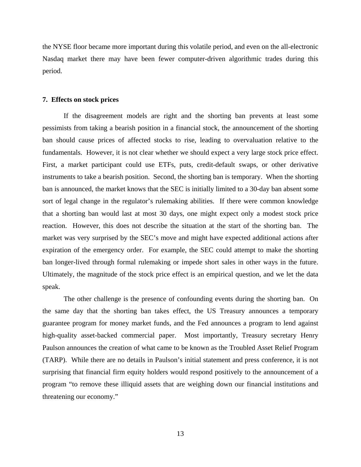the NYSE floor became more important during this volatile period, and even on the all-electronic Nasdaq market there may have been fewer computer-driven algorithmic trades during this period.

#### **7. Effects on stock prices**

If the disagreement models are right and the shorting ban prevents at least some pessimists from taking a bearish position in a financial stock, the announcement of the shorting ban should cause prices of affected stocks to rise, leading to overvaluation relative to the fundamentals. However, it is not clear whether we should expect a very large stock price effect. First, a market participant could use ETFs, puts, credit-default swaps, or other derivative instruments to take a bearish position. Second, the shorting ban is temporary. When the shorting ban is announced, the market knows that the SEC is initially limited to a 30-day ban absent some sort of legal change in the regulator's rulemaking abilities. If there were common knowledge that a shorting ban would last at most 30 days, one might expect only a modest stock price reaction. However, this does not describe the situation at the start of the shorting ban. The market was very surprised by the SEC's move and might have expected additional actions after expiration of the emergency order. For example, the SEC could attempt to make the shorting ban longer-lived through formal rulemaking or impede short sales in other ways in the future. Ultimately, the magnitude of the stock price effect is an empirical question, and we let the data speak.

The other challenge is the presence of confounding events during the shorting ban. On the same day that the shorting ban takes effect, the US Treasury announces a temporary guarantee program for money market funds, and the Fed announces a program to lend against high-quality asset-backed commercial paper. Most importantly, Treasury secretary Henry Paulson announces the creation of what came to be known as the Troubled Asset Relief Program (TARP). While there are no details in Paulson's initial statement and press conference, it is not surprising that financial firm equity holders would respond positively to the announcement of a program "to remove these illiquid assets that are weighing down our financial institutions and threatening our economy."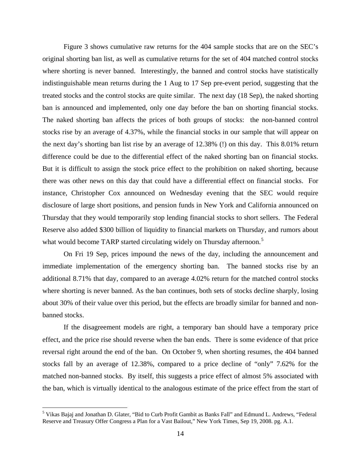Figure 3 shows cumulative raw returns for the 404 sample stocks that are on the SEC's original shorting ban list, as well as cumulative returns for the set of 404 matched control stocks where shorting is never banned. Interestingly, the banned and control stocks have statistically indistinguishable mean returns during the 1 Aug to 17 Sep pre-event period, suggesting that the treated stocks and the control stocks are quite similar. The next day (18 Sep), the naked shorting ban is announced and implemented, only one day before the ban on shorting financial stocks. The naked shorting ban affects the prices of both groups of stocks: the non-banned control stocks rise by an average of 4.37%, while the financial stocks in our sample that will appear on the next day's shorting ban list rise by an average of 12.38% (!) on this day. This 8.01% return difference could be due to the differential effect of the naked shorting ban on financial stocks. But it is difficult to assign the stock price effect to the prohibition on naked shorting, because there was other news on this day that could have a differential effect on financial stocks. For instance, Christopher Cox announced on Wednesday evening that the SEC would require disclosure of large short positions, and pension funds in New York and California announced on Thursday that they would temporarily stop lending financial stocks to short sellers. The Federal Reserve also added \$300 billion of liquidity to financial markets on Thursday, and rumors about what would become TARP started circulating widely on Thursday afternoon.<sup>[5](#page-15-0)</sup>

On Fri 19 Sep, prices impound the news of the day, including the announcement and immediate implementation of the emergency shorting ban. The banned stocks rise by an additional 8.71% that day, compared to an average 4.02% return for the matched control stocks where shorting is never banned. As the ban continues, both sets of stocks decline sharply, losing about 30% of their value over this period, but the effects are broadly similar for banned and nonbanned stocks.

If the disagreement models are right, a temporary ban should have a temporary price effect, and the price rise should reverse when the ban ends. There is some evidence of that price reversal right around the end of the ban. On October 9, when shorting resumes, the 404 banned stocks fall by an average of 12.38%, compared to a price decline of "only" 7.62% for the matched non-banned stocks. By itself, this suggests a price effect of almost 5% associated with the ban, which is virtually identical to the analogous estimate of the price effect from the start of

 $\overline{a}$ 

<span id="page-15-0"></span><sup>&</sup>lt;sup>5</sup> Vikas Bajaj and Jonathan D. Glater, "Bid to Curb Profit Gambit as Banks Fall" and Edmund L. Andrews, "Federal Reserve and Treasury Offer Congress a Plan for a Vast Bailout," New York Times, Sep 19, 2008. pg. A.1.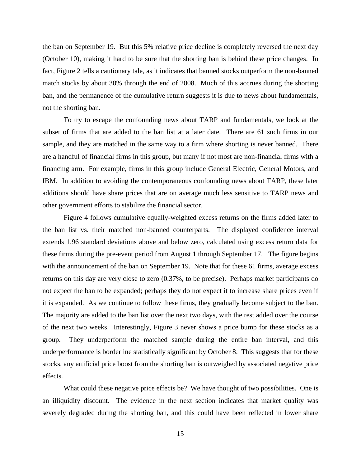the ban on September 19. But this 5% relative price decline is completely reversed the next day (October 10), making it hard to be sure that the shorting ban is behind these price changes. In fact, Figure 2 tells a cautionary tale, as it indicates that banned stocks outperform the non-banned match stocks by about 30% through the end of 2008. Much of this accrues during the shorting ban, and the permanence of the cumulative return suggests it is due to news about fundamentals, not the shorting ban.

To try to escape the confounding news about TARP and fundamentals, we look at the subset of firms that are added to the ban list at a later date. There are 61 such firms in our sample, and they are matched in the same way to a firm where shorting is never banned. There are a handful of financial firms in this group, but many if not most are non-financial firms with a financing arm. For example, firms in this group include General Electric, General Motors, and IBM. In addition to avoiding the contemporaneous confounding news about TARP, these later additions should have share prices that are on average much less sensitive to TARP news and other government efforts to stabilize the financial sector.

Figure 4 follows cumulative equally-weighted excess returns on the firms added later to the ban list vs. their matched non-banned counterparts. The displayed confidence interval extends 1.96 standard deviations above and below zero, calculated using excess return data for these firms during the pre-event period from August 1 through September 17. The figure begins with the announcement of the ban on September 19. Note that for these 61 firms, average excess returns on this day are very close to zero (0.37%, to be precise). Perhaps market participants do not expect the ban to be expanded; perhaps they do not expect it to increase share prices even if it is expanded. As we continue to follow these firms, they gradually become subject to the ban. The majority are added to the ban list over the next two days, with the rest added over the course of the next two weeks. Interestingly, Figure 3 never shows a price bump for these stocks as a group. They underperform the matched sample during the entire ban interval, and this underperformance is borderline statistically significant by October 8. This suggests that for these stocks, any artificial price boost from the shorting ban is outweighed by associated negative price effects.

What could these negative price effects be? We have thought of two possibilities. One is an illiquidity discount. The evidence in the next section indicates that market quality was severely degraded during the shorting ban, and this could have been reflected in lower share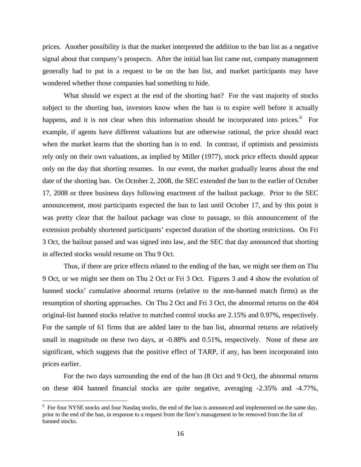prices. Another possibility is that the market interpreted the addition to the ban list as a negative signal about that company's prospects. After the initial ban list came out, company management generally had to put in a request to be on the ban list, and market participants may have wondered whether those companies had something to hide.

What should we expect at the end of the shorting ban? For the vast majority of stocks subject to the shorting ban, investors know when the ban is to expire well before it actually happens, and it is not clear when this information should be incorporated into prices.<sup>[6](#page-17-0)</sup> For example, if agents have different valuations but are otherwise rational, the price should react when the market learns that the shorting ban is to end. In contrast, if optimists and pessimists rely only on their own valuations, as implied by Miller (1977), stock price effects should appear only on the day that shorting resumes. In our event, the market gradually learns about the end date of the shorting ban. On October 2, 2008, the SEC extended the ban to the earlier of October 17, 2008 or three business days following enactment of the bailout package. Prior to the SEC announcement, most participants expected the ban to last until October 17, and by this point it was pretty clear that the bailout package was close to passage, so this announcement of the extension probably shortened participants' expected duration of the shorting restrictions. On Fri 3 Oct, the bailout passed and was signed into law, and the SEC that day announced that shorting in affected stocks would resume on Thu 9 Oct.

Thus, if there are price effects related to the ending of the ban, we might see them on Thu 9 Oct, or we might see them on Thu 2 Oct or Fri 3 Oct. Figures 3 and 4 show the evolution of banned stocks' cumulative abnormal returns (relative to the non-banned match firms) as the resumption of shorting approaches. On Thu 2 Oct and Fri 3 Oct, the abnormal returns on the 404 original-list banned stocks relative to matched control stocks are 2.15% and 0.97%, respectively. For the sample of 61 firms that are added later to the ban list, abnormal returns are relatively small in magnitude on these two days, at -0.88% and 0.51%, respectively. None of these are significant, which suggests that the positive effect of TARP, if any, has been incorporated into prices earlier.

For the two days surrounding the end of the ban (8 Oct and 9 Oct), the abnormal returns on these 404 banned financial stocks are quite negative, averaging -2.35% and -4.77%,

 $\overline{a}$ 

<span id="page-17-0"></span><sup>&</sup>lt;sup>6</sup> For four NYSE stocks and four Nasdaq stocks, the end of the ban is announced and implemented on the same day, prior to the end of the ban, in response to a request from the firm's management to be removed from the list of banned stocks.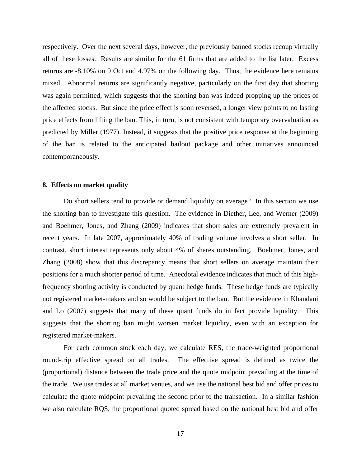respectively. Over the next several days, however, the previously banned stocks recoup virtually all of these losses. Results are similar for the 61 firms that are added to the list later. Excess returns are -8.10% on 9 Oct and 4.97% on the following day. Thus, the evidence here remains mixed. Abnormal returns are significantly negative, particularly on the first day that shorting was again permitted, which suggests that the shorting ban was indeed propping up the prices of the affected stocks. But since the price effect is soon reversed, a longer view points to no lasting price effects from lifting the ban. This, in turn, is not consistent with temporary overvaluation as predicted by Miller (1977). Instead, it suggests that the positive price response at the beginning of the ban is related to the anticipated bailout package and other initiatives announced contemporaneously.

#### **8. Effects on market quality**

Do short sellers tend to provide or demand liquidity on average? In this section we use the shorting ban to investigate this question. The evidence in Diether, Lee, and Werner (2009) and Boehmer, Jones, and Zhang (2009) indicates that short sales are extremely prevalent in recent years. In late 2007, approximately 40% of trading volume involves a short seller. In contrast, short interest represents only about 4% of shares outstanding. Boehmer, Jones, and Zhang (2008) show that this discrepancy means that short sellers on average maintain their positions for a much shorter period of time. Anecdotal evidence indicates that much of this highfrequency shorting activity is conducted by quant hedge funds. These hedge funds are typically not registered market-makers and so would be subject to the ban. But the evidence in Khandani and Lo (2007) suggests that many of these quant funds do in fact provide liquidity. This suggests that the shorting ban might worsen market liquidity, even with an exception for registered market-makers.

For each common stock each day, we calculate RES, the trade-weighted proportional round-trip effective spread on all trades. The effective spread is defined as twice the (proportional) distance between the trade price and the quote midpoint prevailing at the time of the trade. We use trades at all market venues, and we use the national best bid and offer prices to calculate the quote midpoint prevailing the second prior to the transaction. In a similar fashion we also calculate RQS, the proportional quoted spread based on the national best bid and offer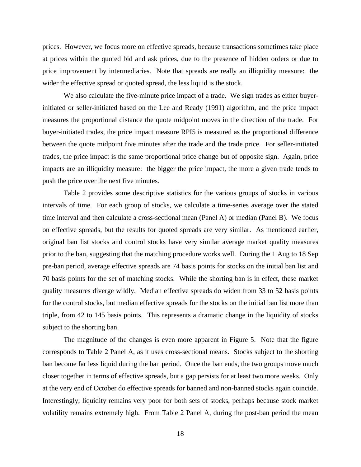prices. However, we focus more on effective spreads, because transactions sometimes take place at prices within the quoted bid and ask prices, due to the presence of hidden orders or due to price improvement by intermediaries. Note that spreads are really an illiquidity measure: the wider the effective spread or quoted spread, the less liquid is the stock.

We also calculate the five-minute price impact of a trade. We sign trades as either buyerinitiated or seller-initiated based on the Lee and Ready (1991) algorithm, and the price impact measures the proportional distance the quote midpoint moves in the direction of the trade. For buyer-initiated trades, the price impact measure RPI5 is measured as the proportional difference between the quote midpoint five minutes after the trade and the trade price. For seller-initiated trades, the price impact is the same proportional price change but of opposite sign. Again, price impacts are an illiquidity measure: the bigger the price impact, the more a given trade tends to push the price over the next five minutes.

Table 2 provides some descriptive statistics for the various groups of stocks in various intervals of time. For each group of stocks, we calculate a time-series average over the stated time interval and then calculate a cross-sectional mean (Panel A) or median (Panel B). We focus on effective spreads, but the results for quoted spreads are very similar. As mentioned earlier, original ban list stocks and control stocks have very similar average market quality measures prior to the ban, suggesting that the matching procedure works well. During the 1 Aug to 18 Sep pre-ban period, average effective spreads are 74 basis points for stocks on the initial ban list and 70 basis points for the set of matching stocks. While the shorting ban is in effect, these market quality measures diverge wildly. Median effective spreads do widen from 33 to 52 basis points for the control stocks, but median effective spreads for the stocks on the initial ban list more than triple, from 42 to 145 basis points. This represents a dramatic change in the liquidity of stocks subject to the shorting ban.

The magnitude of the changes is even more apparent in Figure 5. Note that the figure corresponds to Table 2 Panel A, as it uses cross-sectional means. Stocks subject to the shorting ban become far less liquid during the ban period. Once the ban ends, the two groups move much closer together in terms of effective spreads, but a gap persists for at least two more weeks. Only at the very end of October do effective spreads for banned and non-banned stocks again coincide. Interestingly, liquidity remains very poor for both sets of stocks, perhaps because stock market volatility remains extremely high. From Table 2 Panel A, during the post-ban period the mean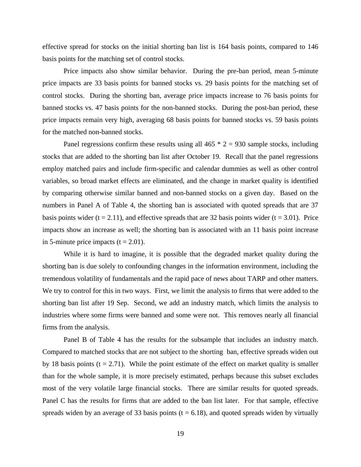effective spread for stocks on the initial shorting ban list is 164 basis points, compared to 146 basis points for the matching set of control stocks.

Price impacts also show similar behavior. During the pre-ban period, mean 5-minute price impacts are 33 basis points for banned stocks vs. 29 basis points for the matching set of control stocks. During the shorting ban, average price impacts increase to 76 basis points for banned stocks vs. 47 basis points for the non-banned stocks. During the post-ban period, these price impacts remain very high, averaging 68 basis points for banned stocks vs. 59 basis points for the matched non-banned stocks.

Panel regressions confirm these results using all  $465 * 2 = 930$  sample stocks, including stocks that are added to the shorting ban list after October 19. Recall that the panel regressions employ matched pairs and include firm-specific and calendar dummies as well as other control variables, so broad market effects are eliminated, and the change in market quality is identified by comparing otherwise similar banned and non-banned stocks on a given day. Based on the numbers in Panel A of Table 4, the shorting ban is associated with quoted spreads that are 37 basis points wider  $(t = 2.11)$ , and effective spreads that are 32 basis points wider  $(t = 3.01)$ . Price impacts show an increase as well; the shorting ban is associated with an 11 basis point increase in 5-minute price impacts  $(t = 2.01)$ .

While it is hard to imagine, it is possible that the degraded market quality during the shorting ban is due solely to confounding changes in the information environment, including the tremendous volatility of fundamentals and the rapid pace of news about TARP and other matters. We try to control for this in two ways. First, we limit the analysis to firms that were added to the shorting ban list after 19 Sep. Second, we add an industry match, which limits the analysis to industries where some firms were banned and some were not. This removes nearly all financial firms from the analysis.

Panel B of Table 4 has the results for the subsample that includes an industry match. Compared to matched stocks that are not subject to the shorting ban, effective spreads widen out by 18 basis points ( $t = 2.71$ ). While the point estimate of the effect on market quality is smaller than for the whole sample, it is more precisely estimated, perhaps because this subset excludes most of the very volatile large financial stocks. There are similar results for quoted spreads. Panel C has the results for firms that are added to the ban list later. For that sample, effective spreads widen by an average of 33 basis points ( $t = 6.18$ ), and quoted spreads widen by virtually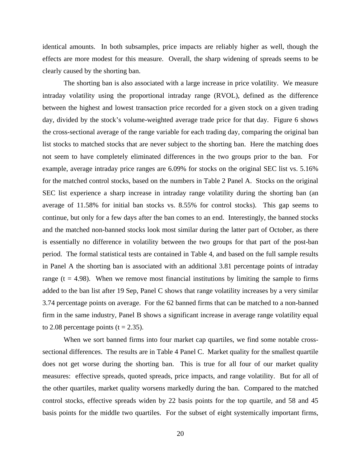identical amounts. In both subsamples, price impacts are reliably higher as well, though the effects are more modest for this measure. Overall, the sharp widening of spreads seems to be clearly caused by the shorting ban.

The shorting ban is also associated with a large increase in price volatility. We measure intraday volatility using the proportional intraday range (RVOL), defined as the difference between the highest and lowest transaction price recorded for a given stock on a given trading day, divided by the stock's volume-weighted average trade price for that day. Figure 6 shows the cross-sectional average of the range variable for each trading day, comparing the original ban list stocks to matched stocks that are never subject to the shorting ban. Here the matching does not seem to have completely eliminated differences in the two groups prior to the ban. For example, average intraday price ranges are 6.09% for stocks on the original SEC list vs. 5.16% for the matched control stocks, based on the numbers in Table 2 Panel A. Stocks on the original SEC list experience a sharp increase in intraday range volatility during the shorting ban (an average of 11.58% for initial ban stocks vs. 8.55% for control stocks). This gap seems to continue, but only for a few days after the ban comes to an end. Interestingly, the banned stocks and the matched non-banned stocks look most similar during the latter part of October, as there is essentially no difference in volatility between the two groups for that part of the post-ban period. The formal statistical tests are contained in Table 4, and based on the full sample results in Panel A the shorting ban is associated with an additional 3.81 percentage points of intraday range ( $t = 4.98$ ). When we remove most financial institutions by limiting the sample to firms added to the ban list after 19 Sep, Panel C shows that range volatility increases by a very similar 3.74 percentage points on average. For the 62 banned firms that can be matched to a non-banned firm in the same industry, Panel B shows a significant increase in average range volatility equal to 2.08 percentage points ( $t = 2.35$ ).

When we sort banned firms into four market cap quartiles, we find some notable crosssectional differences. The results are in Table 4 Panel C. Market quality for the smallest quartile does not get worse during the shorting ban. This is true for all four of our market quality measures: effective spreads, quoted spreads, price impacts, and range volatility. But for all of the other quartiles, market quality worsens markedly during the ban. Compared to the matched control stocks, effective spreads widen by 22 basis points for the top quartile, and 58 and 45 basis points for the middle two quartiles. For the subset of eight systemically important firms,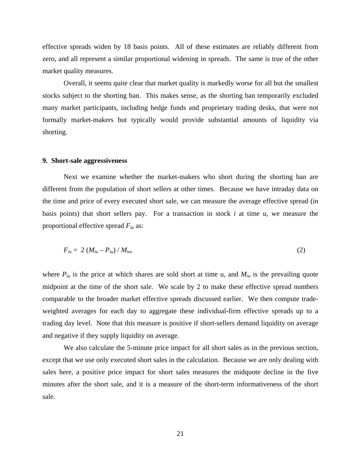effective spreads widen by 18 basis points. All of these estimates are reliably different from zero, and all represent a similar proportional widening in spreads. The same is true of the other market quality measures.

Overall, it seems quite clear that market quality is markedly worse for all but the smallest stocks subject to the shorting ban. This makes sense, as the shorting ban temporarily excluded many market participants, including hedge funds and proprietary trading desks, that were not formally market-makers but typically would provide substantial amounts of liquidity via shorting.

#### **9. Short-sale aggressiveness**

Next we examine whether the market-makers who short during the shorting ban are different from the population of short sellers at other times. Because we have intraday data on the time and price of every executed short sale, we can measure the average effective spread (in basis points) that short sellers pay. For a transaction in stock *i* at time *u*, we measure the proportional effective spread *Fiu* as:

$$
F_{iu} = 2 (M_{iu} - P_{iu}) / M_{iu}, \tag{2}
$$

where  $P_{i\mu}$  is the price at which shares are sold short at time u, and  $M_{i\mu}$  is the prevailing quote midpoint at the time of the short sale. We scale by 2 to make these effective spread numbers comparable to the broader market effective spreads discussed earlier. We then compute tradeweighted averages for each day to aggregate these individual-firm effective spreads up to a trading day level. Note that this measure is positive if short-sellers demand liquidity on average and negative if they supply liquidity on average.

We also calculate the 5-minute price impact for all short sales as in the previous section, except that we use only executed short sales in the calculation. Because we are only dealing with sales here, a positive price impact for short sales measures the midquote decline in the five minutes after the short sale, and it is a measure of the short-term informativeness of the short sale.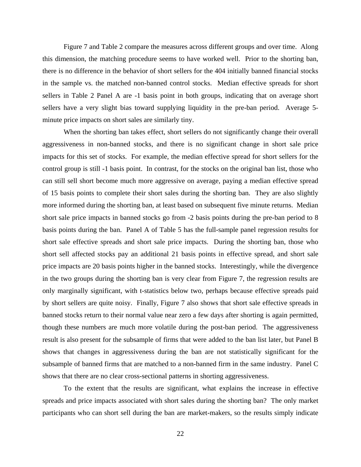Figure 7 and Table 2 compare the measures across different groups and over time. Along this dimension, the matching procedure seems to have worked well. Prior to the shorting ban, there is no difference in the behavior of short sellers for the 404 initially banned financial stocks in the sample vs. the matched non-banned control stocks. Median effective spreads for short sellers in Table 2 Panel A are -1 basis point in both groups, indicating that on average short sellers have a very slight bias toward supplying liquidity in the pre-ban period. Average 5 minute price impacts on short sales are similarly tiny.

When the shorting ban takes effect, short sellers do not significantly change their overall aggressiveness in non-banned stocks, and there is no significant change in short sale price impacts for this set of stocks. For example, the median effective spread for short sellers for the control group is still -1 basis point. In contrast, for the stocks on the original ban list, those who can still sell short become much more aggressive on average, paying a median effective spread of 15 basis points to complete their short sales during the shorting ban. They are also slightly more informed during the shorting ban, at least based on subsequent five minute returns. Median short sale price impacts in banned stocks go from -2 basis points during the pre-ban period to 8 basis points during the ban. Panel A of Table 5 has the full-sample panel regression results for short sale effective spreads and short sale price impacts. During the shorting ban, those who short sell affected stocks pay an additional 21 basis points in effective spread, and short sale price impacts are 20 basis points higher in the banned stocks. Interestingly, while the divergence in the two groups during the shorting ban is very clear from Figure 7, the regression results are only marginally significant, with t-statistics below two, perhaps because effective spreads paid by short sellers are quite noisy. Finally, Figure 7 also shows that short sale effective spreads in banned stocks return to their normal value near zero a few days after shorting is again permitted, though these numbers are much more volatile during the post-ban period. The aggressiveness result is also present for the subsample of firms that were added to the ban list later, but Panel B shows that changes in aggressiveness during the ban are not statistically significant for the subsample of banned firms that are matched to a non-banned firm in the same industry. Panel C shows that there are no clear cross-sectional patterns in shorting aggressiveness.

To the extent that the results are significant, what explains the increase in effective spreads and price impacts associated with short sales during the shorting ban? The only market participants who can short sell during the ban are market-makers, so the results simply indicate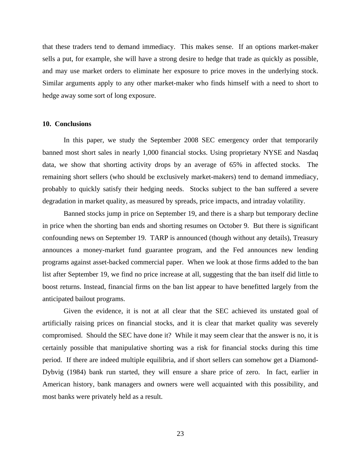that these traders tend to demand immediacy. This makes sense. If an options market-maker sells a put, for example, she will have a strong desire to hedge that trade as quickly as possible, and may use market orders to eliminate her exposure to price moves in the underlying stock. Similar arguments apply to any other market-maker who finds himself with a need to short to hedge away some sort of long exposure.

#### **10. Conclusions**

In this paper, we study the September 2008 SEC emergency order that temporarily banned most short sales in nearly 1,000 financial stocks. Using proprietary NYSE and Nasdaq data, we show that shorting activity drops by an average of 65% in affected stocks. The remaining short sellers (who should be exclusively market-makers) tend to demand immediacy, probably to quickly satisfy their hedging needs. Stocks subject to the ban suffered a severe degradation in market quality, as measured by spreads, price impacts, and intraday volatility.

Banned stocks jump in price on September 19, and there is a sharp but temporary decline in price when the shorting ban ends and shorting resumes on October 9. But there is significant confounding news on September 19. TARP is announced (though without any details), Treasury announces a money-market fund guarantee program, and the Fed announces new lending programs against asset-backed commercial paper. When we look at those firms added to the ban list after September 19, we find no price increase at all, suggesting that the ban itself did little to boost returns. Instead, financial firms on the ban list appear to have benefitted largely from the anticipated bailout programs.

Given the evidence, it is not at all clear that the SEC achieved its unstated goal of artificially raising prices on financial stocks, and it is clear that market quality was severely compromised. Should the SEC have done it? While it may seem clear that the answer is no, it is certainly possible that manipulative shorting was a risk for financial stocks during this time period. If there are indeed multiple equilibria, and if short sellers can somehow get a Diamond-Dybvig (1984) bank run started, they will ensure a share price of zero. In fact, earlier in American history, bank managers and owners were well acquainted with this possibility, and most banks were privately held as a result.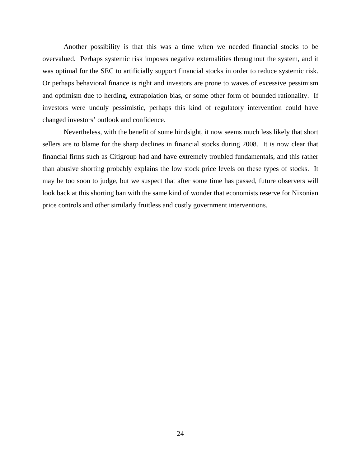Another possibility is that this was a time when we needed financial stocks to be overvalued. Perhaps systemic risk imposes negative externalities throughout the system, and it was optimal for the SEC to artificially support financial stocks in order to reduce systemic risk. Or perhaps behavioral finance is right and investors are prone to waves of excessive pessimism and optimism due to herding, extrapolation bias, or some other form of bounded rationality. If investors were unduly pessimistic, perhaps this kind of regulatory intervention could have changed investors' outlook and confidence.

Nevertheless, with the benefit of some hindsight, it now seems much less likely that short sellers are to blame for the sharp declines in financial stocks during 2008. It is now clear that financial firms such as Citigroup had and have extremely troubled fundamentals, and this rather than abusive shorting probably explains the low stock price levels on these types of stocks. It may be too soon to judge, but we suspect that after some time has passed, future observers will look back at this shorting ban with the same kind of wonder that economists reserve for Nixonian price controls and other similarly fruitless and costly government interventions.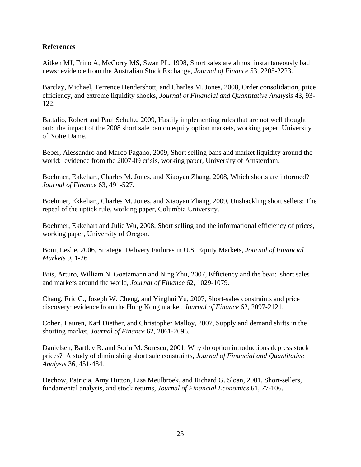# **References**

Aitken MJ, Frino A, McCorry MS, Swan PL, 1998, Short sales are almost instantaneously bad news: evidence from the Australian Stock Exchange, *Journal of Finance* 53, 2205-2223.

Barclay, Michael, Terrence Hendershott, and Charles M. Jones, 2008, Order consolidation, price efficiency, and extreme liquidity shocks, *Journal of Financial and Quantitative Analysis* 43, 93- 122.

Battalio, Robert and Paul Schultz, 2009, Hastily implementing rules that are not well thought out: the impact of the 2008 short sale ban on equity option markets, working paper, University of Notre Dame.

Beber, Alessandro and Marco Pagano, 2009, Short selling bans and market liquidity around the world: evidence from the 2007-09 crisis, working paper, University of Amsterdam.

Boehmer, Ekkehart, Charles M. Jones, and Xiaoyan Zhang, 2008, Which shorts are informed? *Journal of Finance* 63, 491-527.

Boehmer, Ekkehart, Charles M. Jones, and Xiaoyan Zhang, 2009, Unshackling short sellers: The repeal of the uptick rule, working paper, Columbia University.

Boehmer, Ekkehart and Julie Wu, 2008, Short selling and the informational efficiency of prices, working paper, University of Oregon.

Boni, Leslie, 2006, Strategic Delivery Failures in U.S. Equity Markets, *Journal of Financial Markets* 9, 1-26

Bris, Arturo, William N. Goetzmann and Ning Zhu, 2007, Efficiency and the bear: short sales and markets around the world, *Journal of Finance* 62, 1029-1079.

Chang, Eric C., Joseph W. Cheng, and Yinghui Yu, 2007, Short-sales constraints and price discovery: evidence from the Hong Kong market, *Journal of Finance* 62, 2097-2121.

Cohen, Lauren, Karl Diether, and Christopher Malloy, 2007, Supply and demand shifts in the shorting market, *Journal of Finance* 62, 2061-2096.

Danielsen, Bartley R. and Sorin M. Sorescu, 2001, Why do option introductions depress stock prices? A study of diminishing short sale constraints, *Journal of Financial and Quantitative Analysis* 36, 451-484.

Dechow, Patricia, Amy Hutton, Lisa Meulbroek, and Richard G. Sloan, 2001, Short-sellers, fundamental analysis, and stock returns, *Journal of Financial Economics* 61, 77-106.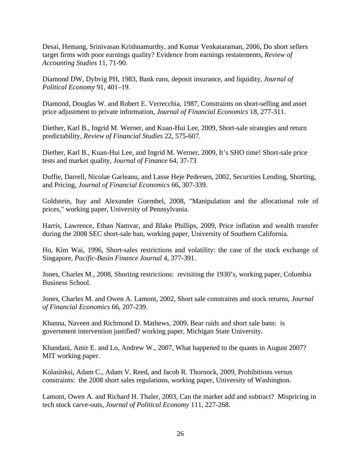Desai, Hemang, Srinivasan Krishnamurthy, and Kumar Venkataraman, 2006, Do short sellers target firms with poor earnings quality? Evidence from earnings restatements, *Review of Accounting Studies* 11, 71-90.

Diamond DW, Dybvig PH, 1983, Bank runs, deposit insurance, and liquidity, *Journal of Political Economy* 91, 401–19.

Diamond, Douglas W. and Robert E. Verrecchia, 1987, Constraints on short-selling and asset price adjustment to private information, *Journal of Financial Economics* 18, 277-311.

Diether, Karl B., Ingrid M. Werner, and Kuan-Hui Lee, 2009, Short-sale strategies and return predictability, *Review of Financial Studies* 22, 575-607.

Diether, Karl B., Kuan-Hui Lee, and Ingrid M. Werner, 2009, It's SHO time! Short-sale price tests and market quality, *Journal of Finance* 64, 37-73

Duffie, Darrell, Nicolae Garleanu, and Lasse Heje Pedersen, 2002, Securities Lending, Shorting, and Pricing, *Journal of Financial Economics* 66, 307-339.

Goldstein, Itay and Alexander Guembel, 2008, "Manipulation and the allocational role of prices," working paper, University of Pennsylvania.

Harris, Lawrence, Ethan Namvar, and Blake Phillips, 2009, Price inflation and wealth transfer during the 2008 SEC short-sale ban, working paper, University of Southern California.

Ho, Kim Wai, 1996, Short-sales restrictions and volatility: the case of the stock exchange of Singapore, *Pacific-Basin Finance Journal* 4, 377-391.

Jones, Charles M., 2008, Shorting restrictions: revisiting the 1930's, working paper, Columbia Business School.

Jones, Charles M. and Owen A. Lamont, 2002, Short sale constraints and stock returns, *Journal of Financial Economics* 66, 207-239.

Khanna, Naveen and Richmond D. Mathews, 2009, Bear raids and short sale bans: is government intervention justified? working paper, Michigan State University.

Khandani, Amir E. and Lo, Andrew W., 2007, What happened to the quants in August 2007? MIT working paper.

Kolasinksi, Adam C., Adam V. Reed, and Jacob R. Thornock, 2009, Prohibitions versus constraints: the 2008 short sales regulations, working paper, University of Washington.

Lamont, Owen A. and Richard H. Thaler, 2003, Can the market add and subtract? Mispricing in tech stock carve-outs, *Journal of Political Economy* 111, 227-268.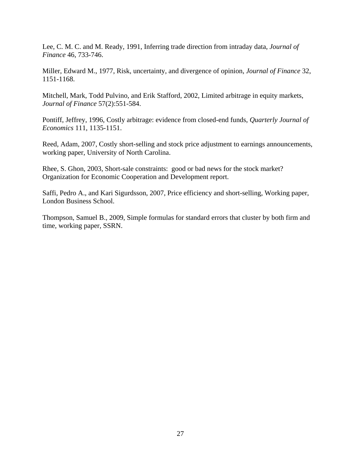Lee, C. M. C. and M. Ready, 1991, Inferring trade direction from intraday data, *Journal of Finance* 46, 733-746.

Miller, Edward M., 1977, Risk, uncertainty, and divergence of opinion, *Journal of Finance* 32, 1151-1168.

Mitchell, Mark, Todd Pulvino, and Erik Stafford, 2002, Limited arbitrage in equity markets, *Journal of Finance* 57(2):551-584.

Pontiff, Jeffrey, 1996, Costly arbitrage: evidence from closed-end funds, *Quarterly Journal of Economics* 111, 1135-1151.

Reed, Adam, 2007, Costly short-selling and stock price adjustment to earnings announcements, working paper, University of North Carolina.

Rhee, S. Ghon, 2003, Short-sale constraints: good or bad news for the stock market? Organization for Economic Cooperation and Development report.

Saffi, Pedro A., and Kari Sigurdsson, 2007, Price efficiency and short-selling, Working paper, London Business School.

Thompson, Samuel B., 2009, Simple formulas for standard errors that cluster by both firm and time, working paper, SSRN.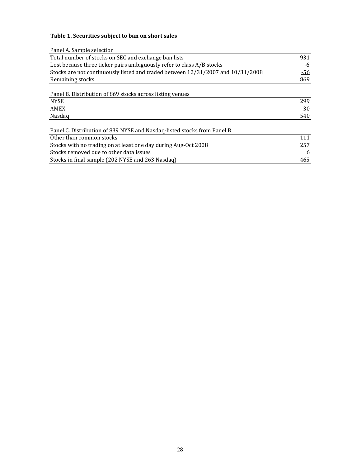# **Table 1. Securities subject to ban on short sales**

| Panel A. Sample selection                                                       |            |
|---------------------------------------------------------------------------------|------------|
| Total number of stocks on SEC and exchange ban lists                            | 931        |
| Lost because three ticker pairs ambiguously refer to class A/B stocks           | -6         |
| Stocks are not continuously listed and traded between 12/31/2007 and 10/31/2008 | <u>-56</u> |
| Remaining stocks                                                                | 869        |
|                                                                                 |            |
| Panel B. Distribution of 869 stocks across listing venues                       |            |
| <b>NYSE</b>                                                                     | 299        |
| AMEX                                                                            | 30         |
| Nasdag                                                                          | 540        |
| Panel C. Distribution of 839 NYSE and Nasdaq-listed stocks from Panel B         |            |
| Other than common stocks                                                        | 111        |
| Stocks with no trading on at least one day during Aug-Oct 2008                  | 257        |
| Stocks removed due to other data issues                                         | 6          |
| Stocks in final sample (202 NYSE and 263 Nasdaq)                                | 465        |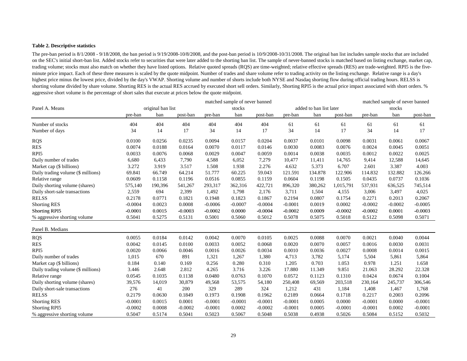#### **Table 2. Descriptive statistics**

The pre-ban period is 8/1/2008 - 9/18/2008, the ban period is 9/19/2008-10/8/2008, and the post-ban period is 10/9/2008-10/31/2008. The original ban list includes sample stocks that are included on the SEC's initial short-ban list. Added stocks refer to securities that were later added to the shorting ban list. The sample of never-banned stocks is matched based on listing exchange, market cap, trading volume; stocks must also match on whether they have listed options. Relative quoted spreads (RQS) are time-weighted; relative effective spreads (RES) are trade-weighted. RPI5 is the fiveminute price impact. Each of these three measures is scaled by the quote midpoint. Number of trades and share volume refer to trading activity on the listing exchange. Relative range is a day's highest price minus the lowest price, divided by the day's VWAP. Shorting volume and number of shorts include both NYSE and Nasdaq shorting flow during official trading hours. RELSS is shorting volume divided by share volume. Shorting RES is the actual RES accrued by executed short sell orders. Similarly, Shorting RPI5 is the actual price impact associated with short orders. % aggressive short volume is the percentage of short sales that execute at prices below the quote midpoint.

|                                    |           | matched sample of never banned |           |           |           |           |           |                         |           | matched sample of never banned |           |           |
|------------------------------------|-----------|--------------------------------|-----------|-----------|-----------|-----------|-----------|-------------------------|-----------|--------------------------------|-----------|-----------|
| Panel A. Means                     |           | original ban list              |           |           | stocks    |           |           | added to ban list later |           | stocks                         |           |           |
|                                    | pre-ban   | ban                            | post-ban  | pre-ban   | ban       | post-ban  | pre-ban   | ban                     | post-ban  | pre-ban                        | ban       | post-ban  |
| Number of stocks                   | 404       | 404                            | 404       | 404       | 404       | 404       | 61        | 61                      | 61        | 61                             | 61        | 61        |
| Number of days                     | 34        | 14                             | 17        | 34        | 14        | 17        | 34        | 14                      | 17        | 34                             | 14        | 17        |
| <b>RQS</b>                         | 0.0100    | 0.0256                         | 0.0235    | 0.0094    | 0.0157    | 0.0204    | 0.0037    | 0.0101                  | 0.0098    | 0.0031                         | 0.0061    | 0.0067    |
| <b>RES</b>                         | 0.0074    | 0.0188                         | 0.0164    | 0.0070    | 0.0117    | 0.0146    | 0.0030    | 0.0083                  | 0.0076    | 0.0024                         | 0.0045    | 0.0051    |
| RPI <sub>5</sub>                   | 0.0033    | 0.0076                         | 0.0068    | 0.0029    | 0.0047    | 0.0059    | 0.0014    | 0.0038                  | 0.0035    | 0.0012                         | 0.0022    | 0.0025    |
| Daily number of trades             | 6,680     | 6,433                          | 7,790     | 4,588     | 6,052     | 7,279     | 10,477    | 11,411                  | 14,765    | 9,414                          | 12,588    | 14,645    |
| Market cap (\$ billions)           | 3.272     | 3.919                          | 3.517     | 1.508     | 1.938     | 2.276     | 4.632     | 5.373                   | 6.707     | 2.601                          | 3.387     | 4.003     |
| Daily trading volume (\$ millions) | 69.841    | 66.749                         | 64.214    | 51.777    | 60.225    | 59.043    | 121.591   | 134.878                 | 122.906   | 114.832                        | 132.882   | 126.266   |
| Relative range                     | 0.0609    | 0.1158                         | 0.1196    | 0.0516    | 0.0855    | 0.1159    | 0.0604    | 0.1198                  | 0.1505    | 0.0435                         | 0.0737    | 0.1036    |
| Daily shorting volume (shares)     | 575,140   | 190,396                        | 541,267   | 293,317   | 362,316   | 422,721   | 896,320   | 380,262                 | 1,015,791 | 537,931                        | 636,525   | 745,514   |
| Daily short-sale transactions      | 2,559     | 694                            | 2,399     | 1,492     | 1,798     | 2,176     | 3,711     | 1,504                   | 4,155     | 3,006                          | 3,497     | 4,025     |
| <b>RELSS</b>                       | 0.2178    | 0.0771                         | 0.1821    | 0.1948    | 0.1823    | 0.1867    | 0.2194    | 0.0807                  | 0.1754    | 0.2271                         | 0.2013    | 0.2067    |
| <b>Shorting RES</b>                | $-0.0004$ | 0.0023                         | 0.0008    | $-0.0006$ | $-0.0007$ | $-0.0004$ | $-0.0001$ | 0.0019                  | 0.0002    | $-0.0002$                      | $-0.0002$ | $-0.0005$ |
| <b>Shorting RPI5</b>               | $-0.0001$ | 0.0015                         | $-0.0003$ | $-0.0002$ | 0.0000    | $-0.0004$ | $-0.0002$ | 0.0009                  | $-0.0002$ | $-0.0002$                      | 0.0001    | $-0.0003$ |
| % aggressive shorting volume       | 0.5041    | 0.5275                         | 0.5131    | 0.5001    | 0.5060    | 0.5012    | 0.5078    | 0.5075                  | 0.5018    | 0.5122                         | 0.5098    | 0.5071    |
| Panel B. Medians                   |           |                                |           |           |           |           |           |                         |           |                                |           |           |
| <b>RQS</b>                         | 0.0055    | 0.0184                         | 0.0142    | 0.0042    | 0.0070    | 0.0105    | 0.0025    | 0.0088                  | 0.0070    | 0.0021                         | 0.0040    | 0.0044    |
| <b>RES</b>                         | 0.0042    | 0.0145                         | 0.0100    | 0.0033    | 0.0052    | 0.0068    | 0.0020    | 0.0070                  | 0.0057    | 0.0016                         | 0.0030    | 0.0031    |
| RPI <sub>5</sub>                   | 0.0020    | 0.0066                         | 0.0046    | 0.0016    | 0.0026    | 0.0034    | 0.0010    | 0.0036                  | 0.0027    | 0.0008                         | 0.0014    | 0.0015    |
| Daily number of trades             | 1,015     | 670                            | 891       | 1,321     | 1,267     | 1,380     | 4,713     | 3,782                   | 5,174     | 5,504                          | 5,861     | 5,864     |
| Market cap (\$ billions)           | 0.184     | 0.140                          | 0.169     | 0.256     | 0.280     | 0.310     | 1.205     | 0.703                   | 1.053     | 0.978                          | 1.251     | 1.658     |
| Daily trading volume (\$ millions) | 3.446     | 2.648                          | 2.812     | 4.265     | 3.716     | 3.226     | 17.880    | 11.349                  | 9.851     | 21.063                         | 28.292    | 22.328    |
| Relative range                     | 0.0545    | 0.1035                         | 0.1138    | 0.0480    | 0.0763    | 0.1070    | 0.0572    | 0.1123                  | 0.1310    | 0.0424                         | 0.0674    | 0.1004    |
| Daily shorting volume (shares)     | 39,576    | 14,019                         | 30,879    | 49,568    | 53,575    | 54,180    | 250,408   | 69,569                  | 203,518   | 230,164                        | 245,737   | 306,546   |
| Daily short-sale transactions      | 276       | 41                             | 200       | 329       | 289       | 324       | 1,212     | 431                     | 1,184     | 1,408                          | 1,467     | 1,768     |
| <b>RELSS</b>                       | 0.2179    | 0.0630                         | 0.1849    | 0.1973    | 0.1908    | 0.1962    | 0.2189    | 0.0664                  | 0.1718    | 0.2217                         | 0.2003    | 0.2096    |
| <b>Shorting RES</b>                | $-0.0001$ | 0.0015                         | 0.0001    | $-0.0001$ | $-0.0001$ | $-0.0001$ | $-0.0001$ | 0.0005                  | 0.0000    | $-0.0001$                      | 0.0000    | $-0.0001$ |
| Shorting RPI5                      | $-0.0002$ | 0.0008                         | $-0.0002$ | $-0.0001$ | 0.0002    | $-0.0002$ | $-0.0001$ | 0.0005                  | $-0.0001$ | $-0.0001$                      | 0.0002    | $-0.0001$ |
| % aggressive shorting volume       | 0.5047    | 0.5174                         | 0.5041    | 0.5023    | 0.5067    | 0.5048    | 0.5038    | 0.4938                  | 0.5026    | 0.5084                         | 0.5152    | 0.5032    |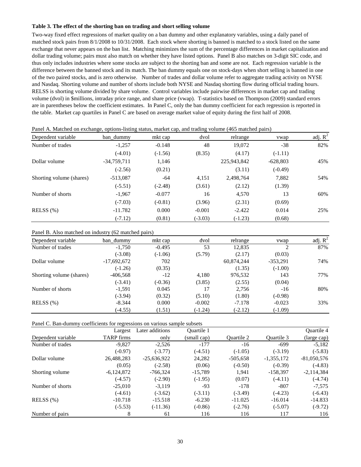#### **Table 3. The effect of the shorting ban on trading and short selling volume**

Two-way fixed effect regressions of market quality on a ban dummy and other explanatory variables, using a daily panel of matched stock pairs from 8/1/2008 to 10/31/2008. Each stock where shorting is banned is matched to a stock listed on the same exchange that never appears on the ban list. Matching minimizes the sum of the percentage differences in market capitalization and dollar trading volume; pairs must also match on whether they have listed options. Panel B also matches on 3-digit SIC code, and thus only includes industries where some stocks are subject to the shorting ban and some are not. Each regression variable is the difference between the banned stock and its match. The ban dummy equals one on stock-days when short selling is banned in one of the two paired stocks, and is zero otherwise. Number of trades and dollar volume refer to aggregate trading activity on NYSE and Nasdaq. Shorting volume and number of shorts include both NYSE and Nasdaq shorting flow during official trading hours. RELSS is shorting volume divided by share volume. Control variables include pairwise differences in market cap and trading volume (dvol) in \$millions, intraday price range, and share price (vwap). T-statistics based on Thompson (2009) standard errors are in parentheses below the coefficient estimates. In Panel C, only the ban dummy coefficient for each regression is reported in the table. Market cap quartiles in Panel C are based on average market value of equity during the first half of 2008.

| Dependent variable       | ban dummy     | mkt cap   | dvol      | relrange    | vwap       | adj. $R^2$ |
|--------------------------|---------------|-----------|-----------|-------------|------------|------------|
| Number of trades         | $-1,257$      | $-0.148$  | 48        | 19,072      | $-38$      | 82%        |
|                          | $(-4.01)$     | $(-1.56)$ | (8.35)    | (4.17)      | $(-1.11)$  |            |
| Dollar volume            | $-34,759,711$ | 1,146     |           | 225,943,842 | $-628,803$ | 45%        |
|                          | $(-2.56)$     | (0.21)    |           | (3.11)      | $(-0.49)$  |            |
| Shorting volume (shares) | $-513,087$    | -64       | 4,151     | 2,498,764   | 7,882      | 54%        |
|                          | $(-5.51)$     | $(-2.48)$ | (3.61)    | (2.12)      | (1.39)     |            |
| Number of shorts         | $-1,967$      | $-0.077$  | 16        | 4,570       | 13         | 60%        |
|                          | $(-7.03)$     | $(-0.81)$ | (3.96)    | (2.31)      | (0.69)     |            |
| RELSS $(%)$              | $-11.782$     | 0.000     | $-0.001$  | $-2.422$    | 0.014      | 25%        |
|                          | $(-7.12)$     | (0.81)    | $(-3.03)$ | $(-1.23)$   | (0.68)     |            |

Panel A. Matched on exchange, options-listing status, market cap, and trading volume (465 matched pairs)

Panel B. Also matched on industry (62 matched pairs)

| Dependent variable       | ban dummy     | mkt cap   | dvol      | relrange   | vwap       | adj. $R^2$ |
|--------------------------|---------------|-----------|-----------|------------|------------|------------|
| Number of trades         | $-1,750$      | $-0.495$  | 53        | 12,835     | 2          | 87%        |
|                          | $(-3.08)$     | $(-1.06)$ | (5.79)    | (2.17)     | (0.03)     |            |
| Dollar volume            | $-17,692,672$ | 702       |           | 60,874,244 | $-353,291$ | 74%        |
|                          | $(-1.26)$     | (0.35)    |           | (1.35)     | $(-1.00)$  |            |
| Shorting volume (shares) | $-406,568$    | $-12$     | 4,180     | 976,532    | 143        | 77%        |
|                          | $(-3.41)$     | $(-0.36)$ | (3.85)    | (2.55)     | (0.04)     |            |
| Number of shorts         | $-1,591$      | 0.045     | 17        | 2,756      | $-16$      | 80%        |
|                          | $(-3.94)$     | (0.32)    | (5.10)    | (1.80)     | $(-0.98)$  |            |
| RELSS $(%)$              | $-8.344$      | 0.000     | $-0.002$  | $-7.178$   | $-0.023$   | 33%        |
|                          | $(-4.55)$     | (1.51)    | $(-1.24)$ | $(-2.12)$  | $(-1.09)$  |            |

Panel C. Ban-dummy coefficients for regressions on various sample subsets

|                    | Largest           | Later additions | <b>Ouartile 1</b> |                   |              | <b>Ouartile 4</b> |
|--------------------|-------------------|-----------------|-------------------|-------------------|--------------|-------------------|
| Dependent variable | <b>TARP</b> firms | only            | (small cap)       | <b>Ouartile 2</b> | Ouartile 3   | (large cap)       |
| Number of trades   | $-9,827$          | $-2,526$        | $-177$            | $-16$             | $-699$       | $-5,182$          |
|                    | $(-0.97)$         | $(-3.77)$       | $(-4.51)$         | $(-1.05)$         | $(-3.19)$    | $(-5.83)$         |
| Dollar volume      | 26,488,283        | $-25,636,922$   | 24,282            | $-505,658$        | $-1,355,172$ | $-81,050,576$     |
|                    | (0.05)            | $(-2.58)$       | (0.06)            | $(-0.50)$         | $(-0.39)$    | $(-4.83)$         |
| Shorting volume    | $-6,124,872$      | $-766,324$      | $-15,789$         | 1,941             | $-158,397$   | $-2,114,384$      |
|                    | $(-4.57)$         | $(-2.90)$       | $(-1.95)$         | (0.07)            | $(-4.11)$    | $(-4.74)$         |
| Number of shorts   | $-25.010$         | $-3.119$        | $-93$             | $-178$            | $-807$       | $-7.575$          |
|                    | $(-4.61)$         | $(-3.62)$       | $(-3.11)$         | $(-3.49)$         | $(-4.23)$    | $(-6.43)$         |
| RELSS $(%)$        | $-10.718$         | $-15.518$       | $-6.230$          | $-11.025$         | $-16.014$    | $-14.833$         |
|                    | $(-5.53)$         | $(-11.36)$      | $(-0.86)$         | $(-2.76)$         | $(-5.07)$    | $(-9.72)$         |
| Number of pairs    | 8                 | 61              | 116               | 116               | 117          | 116               |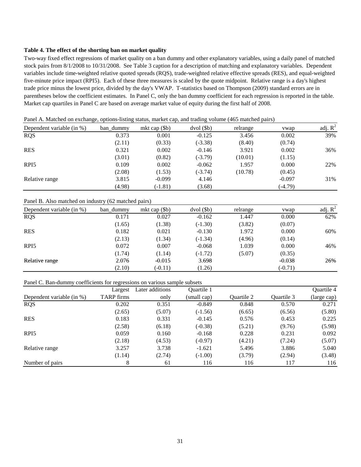#### **Table 4. The effect of the shorting ban on market quality**

Two-way fixed effect regressions of market quality on a ban dummy and other explanatory variables, using a daily panel of matched stock pairs from 8/1/2008 to 10/31/2008. See Table 3 caption for a description of matching and explanatory variables. Dependent variables include time-weighted relative quoted spreads (RQS), trade-weighted relative effective spreads (RES), and equal-weighted five-minute price impact (RPI5). Each of these three measures is scaled by the quote midpoint. Relative range is a day's highest trade price minus the lowest price, divided by the day's VWAP. T-statistics based on Thompson (2009) standard errors are in parentheses below the coefficient estimates. In Panel C, only the ban dummy coefficient for each regression is reported in the table. Market cap quartiles in Panel C are based on average market value of equity during the first half of 2008.

| Panel A. Matched on exchange, options-listing status, market cap, and trading volume (465 matched pairs) |  |  |  |  |
|----------------------------------------------------------------------------------------------------------|--|--|--|--|
|                                                                                                          |  |  |  |  |

| Dependent variable (in %) | ban dummy | mkt cap $(\$b)$ | $dvol($ \$b $)$ | relrange | ywap      | adj. $R^2$ |
|---------------------------|-----------|-----------------|-----------------|----------|-----------|------------|
| <b>RQS</b>                | 0.373     | 0.001           | $-0.125$        | 3.456    | 0.002     | 39%        |
|                           | (2.11)    | (0.33)          | $(-3.38)$       | (8.40)   | (0.74)    |            |
| <b>RES</b>                | 0.321     | 0.002           | $-0.146$        | 3.921    | 0.002     | 36%        |
|                           | (3.01)    | (0.82)          | $(-3.79)$       | (10.01)  | (1.15)    |            |
| RPI <sub>5</sub>          | 0.109     | 0.002           | $-0.062$        | 1.957    | 0.000     | 22%        |
|                           | (2.08)    | (1.53)          | $(-3.74)$       | (10.78)  | (0.45)    |            |
| Relative range            | 3.815     | $-0.099$        | 4.146           |          | $-0.097$  | 31%        |
|                           | (4.98)    | $(-1.81)$       | (3.68)          |          | $(-4.79)$ |            |

#### Panel B. Also matched on industry (62 matched pairs)

| Dependent variable (in %) | ban_dummy | mkt cap $(\$b)$ | $dvol($ \$b $)$ | relrange | vwap      | adj. $R^2$ |
|---------------------------|-----------|-----------------|-----------------|----------|-----------|------------|
| <b>RQS</b>                | 0.171     | 0.027           | $-0.162$        | 1.447    | 0.000     | 62%        |
|                           | (1.65)    | (1.38)          | $(-1.30)$       | (3.82)   | (0.07)    |            |
| <b>RES</b>                | 0.182     | 0.021           | $-0.130$        | 1.972    | 0.000     | 60%        |
|                           | (2.13)    | (1.34)          | $(-1.34)$       | (4.96)   | (0.14)    |            |
| RPI <sub>5</sub>          | 0.072     | 0.007           | $-0.068$        | 1.039    | 0.000     | 46%        |
|                           | (1.74)    | (1.14)          | $(-1.72)$       | (5.07)   | (0.35)    |            |
| Relative range            | 2.076     | $-0.015$        | 3.698           |          | $-0.038$  | 26%        |
|                           | (2.10)    | $(-0.11)$       | (1.26)          |          | $(-0.71)$ |            |

## Panel C. Ban-dummy coefficients for regressions on various sample subsets

|                           | Largest           | Later additions | Quartile 1  |            |            | Quartile 4  |
|---------------------------|-------------------|-----------------|-------------|------------|------------|-------------|
| Dependent variable (in %) | <b>TARP</b> firms | only            | (small cap) | Quartile 2 | Ouartile 3 | (large cap) |
| <b>RQS</b>                | 0.202             | 0.351           | $-0.849$    | 0.848      | 0.570      | 0.271       |
|                           | (2.65)            | (5.07)          | $(-1.56)$   | (6.65)     | (6.56)     | (5.80)      |
| <b>RES</b>                | 0.183             | 0.331           | $-0.145$    | 0.576      | 0.453      | 0.225       |
|                           | (2.58)            | (6.18)          | $(-0.38)$   | (5.21)     | (9.76)     | (5.98)      |
| RPI <sub>5</sub>          | 0.059             | 0.160           | $-0.168$    | 0.228      | 0.231      | 0.092       |
|                           | (2.18)            | (4.53)          | $(-0.97)$   | (4.21)     | (7.24)     | (5.07)      |
| Relative range            | 3.257             | 3.738           | $-1.621$    | 5.496      | 3.886      | 5.040       |
|                           | (1.14)            | (2.74)          | $(-1.00)$   | (3.79)     | (2.94)     | (3.48)      |
| Number of pairs           | 8                 | 61              | 116         | 116        | 117        | 116         |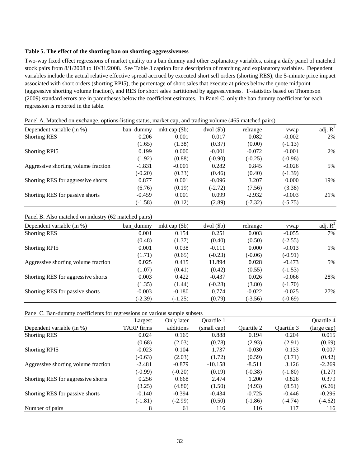#### **Table 5. The effect of the shorting ban on shorting aggressiveness**

Two-way fixed effect regressions of market quality on a ban dummy and other explanatory variables, using a daily panel of matched stock pairs from 8/1/2008 to 10/31/2008. See Table 3 caption for a description of matching and explanatory variables. Dependent variables include the actual relative effective spread accrued by executed short sell orders (shorting RES), the 5-minute price impact associated with short orders (shorting RPI5), the percentage of short sales that execute at prices below the quote midpoint (aggressive shorting volume fraction), and RES for short sales partitioned by aggressiveness. T-statistics based on Thompson (2009) standard errors are in parentheses below the coefficient estimates. In Panel C, only the ban dummy coefficient for each regression is reported in the table.

| ----<br>$    -$                     |           |                 |                 | P <i>.</i> |           |            |
|-------------------------------------|-----------|-----------------|-----------------|------------|-----------|------------|
| Dependent variable (in %)           | ban dummy | mkt cap $(\$b)$ | $dvol($ \$b $)$ | relrange   | ywap      | adj. $R^2$ |
| <b>Shorting RES</b>                 | 0.206     | 0.001           | 0.017           | 0.082      | $-0.002$  | 2%         |
|                                     | (1.65)    | (1.38)          | (0.37)          | (0.00)     | $(-1.13)$ |            |
| <b>Shorting RPI5</b>                | 0.199     | 0.000           | $-0.001$        | $-0.072$   | $-0.001$  | 2%         |
|                                     | (1.92)    | (0.88)          | $(-0.90)$       | $(-0.25)$  | $(-0.96)$ |            |
| Aggressive shorting volume fraction | $-1.831$  | $-0.001$        | 0.282           | 0.845      | $-0.026$  | 5%         |
|                                     | $(-0.20)$ | (0.33)          | (0.46)          | (0.40)     | $(-1.39)$ |            |
| Shorting RES for aggressive shorts  | 0.877     | 0.001           | $-0.096$        | 3.207      | 0.000     | 19%        |
|                                     | (6.76)    | (0.19)          | $(-2.72)$       | (7.56)     | (3.38)    |            |
| Shorting RES for passive shorts     | $-0.459$  | 0.001           | 0.099           | $-2.932$   | $-0.003$  | 21%        |
|                                     | $(-1.58)$ | (0.12)          | (2.89)          | $(-7.32)$  | $(-5.75)$ |            |

Panel A. Matched on exchange, options-listing status, market cap, and trading volume (465 matched pairs)

#### Panel B. Also matched on industry (62 matched pairs)

| Dependent variable (in %)           | ban dummy | mkt cap $(\$b)$ | $dvol($ \$b $)$ | relrange  | vwap      | adj. $R^2$ |
|-------------------------------------|-----------|-----------------|-----------------|-----------|-----------|------------|
| <b>Shorting RES</b>                 | 0.001     | 0.154           | 0.251           | 0.003     | $-0.055$  | 7%         |
|                                     | (0.48)    | (1.37)          | (0.40)          | (0.50)    | $(-2.55)$ |            |
| <b>Shorting RPI5</b>                | 0.001     | 0.038           | $-0.111$        | 0.000     | $-0.013$  | 1%         |
|                                     | (1.71)    | (0.65)          | $(-0.23)$       | $(-0.06)$ | $(-0.91)$ |            |
| Aggressive shorting volume fraction | 0.025     | 0.415           | 11.894          | 0.028     | $-0.473$  | 5%         |
|                                     | (1.07)    | (0.41)          | (0.42)          | (0.55)    | $(-1.53)$ |            |
| Shorting RES for aggressive shorts  | 0.003     | 0.422           | $-0.437$        | 0.026     | $-0.066$  | 28%        |
|                                     | (1.35)    | (1.44)          | $(-0.28)$       | (3.80)    | $(-1.70)$ |            |
| Shorting RES for passive shorts     | $-0.003$  | $-0.180$        | 0.774           | $-0.022$  | $-0.025$  | 27%        |
|                                     | $(-2.39)$ | $(-1.25)$       | (0.79)          | $(-3.56)$ | $(-0.69)$ |            |

Panel C. Ban-dummy coefficients for regressions on various sample subsets

|                                     | Largest           | Only later | Quartile 1  |                   |            | Quartile 4  |
|-------------------------------------|-------------------|------------|-------------|-------------------|------------|-------------|
| Dependent variable (in %)           | <b>TARP</b> firms | additions  | (small cap) | <b>Ouartile 2</b> | Ouartile 3 | (large cap) |
| <b>Shorting RES</b>                 | 0.024             | 0.169      | 0.888       | 0.194             | 0.204      | 0.015       |
|                                     | (0.68)            | (2.03)     | (0.78)      | (2.93)            | (2.91)     | (0.69)      |
| <b>Shorting RPI5</b>                | $-0.023$          | 0.104      | 1.737       | $-0.030$          | 0.133      | 0.007       |
|                                     | $(-0.63)$         | (2.03)     | (1.72)      | (0.59)            | (3.71)     | (0.42)      |
| Aggressive shorting volume fraction | $-2.481$          | $-0.879$   | $-10.158$   | $-8.511$          | 3.126      | $-2.269$    |
|                                     | $(-0.99)$         | $(-0.20)$  | (0.19)      | $(-0.38)$         | $(-1.80)$  | (1.27)      |
| Shorting RES for aggressive shorts  | 0.256             | 0.668      | 2.474       | 1.200             | 0.826      | 0.379       |
|                                     | (3.25)            | (4.80)     | (1.50)      | (4.93)            | (8.51)     | (6.26)      |
| Shorting RES for passive shorts     | $-0.140$          | $-0.394$   | $-0.434$    | $-0.725$          | $-0.446$   | $-0.296$    |
|                                     | $(-1.81)$         | $(-2.99)$  | (0.50)      | $(-1.86)$         | $(-4.74)$  | $(-4.62)$   |
| Number of pairs                     | 8                 | 61         | 116         | 116               | 117        | 116         |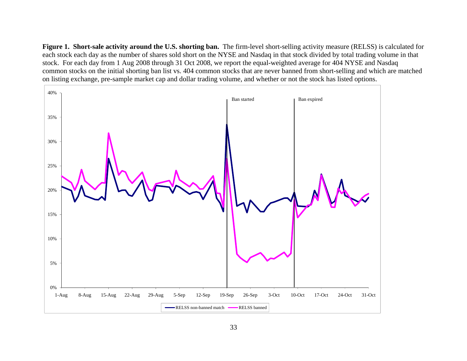**Figure 1. Short-sale activity around the U.S. shorting ban.** The firm-level short-selling activity measure (RELSS) is calculated for each stock each day as the number of shares sold short on the NYSE and Nasdaq in that stock divided by total trading volume in that stock. For each day from 1 Aug 2008 through 31 Oct 2008, we report the equal-weighted average for 404 NYSE and Nasdaq common stocks on the initial shorting ban list vs. 404 common stocks that are never banned from short-selling and which are matched on listing exchange, pre-sample market cap and dollar trading volume, and whether or not the stock has listed options.

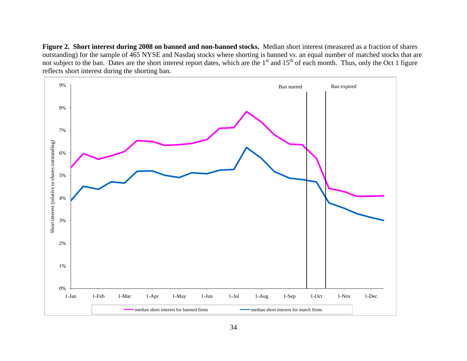**Figure 2. Short interest during 2008 on banned and non-banned stocks.** Median short interest (measured as a fraction of shares outstanding) for the sample of 465 NYSE and Nasdaq stocks where shorting is banned vs. an equal number of matched stocks that are not subject to the ban. Dates are the short interest report dates, which are the 1<sup>st</sup> and 15<sup>th</sup> of each month. Thus, only the Oct 1 figure reflects short interest during the shorting ban.

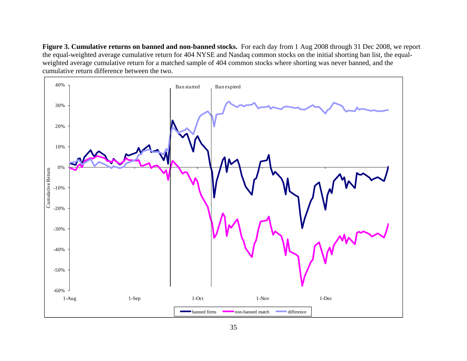**Figure 3. Cumulative returns on banned and non-banned stocks.** For each day from 1 Aug 2008 through 31 Dec 2008, we report the equal-weighted average cumulative return for 404 NYSE and Nasdaq common stocks on the initial shorting ban list, the equalweighted average cumulative return for a matched sample of 404 common stocks where shorting was never banned, and the cumulative return difference between the two.

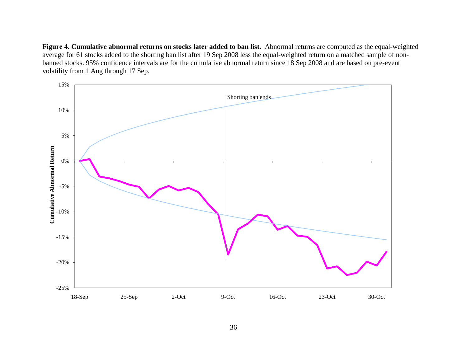**Figure 4. Cumulative abnormal returns on stocks later added to ban list.** Abnormal returns are computed as the equal-weighted average for 61 stocks added to the shorting ban list after 19 Sep 2008 less the equal-weighted return on a matched sample of nonbanned stocks. 95% confidence intervals are for the cumulative abnormal return since 18 Sep 2008 and are based on pre-event volatility from 1 Aug through 17 Sep.

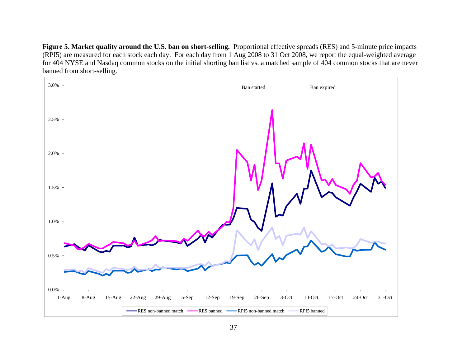**Figure 5. Market quality around the U.S. ban on short-selling.** Proportional effective spreads (RES) and 5-minute price impacts (RPI5) are measured for each stock each day. For each day from 1 Aug 2008 to 31 Oct 2008, we report the equal-weighted average for 404 NYSE and Nasdaq common stocks on the initial shorting ban list vs. a matched sample of 404 common stocks that are never banned from short-selling.

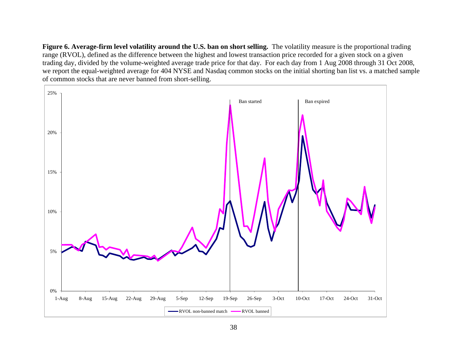Figure 6. Average-firm level volatility around the U.S. ban on short selling. The volatility measure is the proportional trading range (RVOL), defined as the difference between the highest and lowest transaction price recorded for a given stock on a given trading day, divided by the volume-weighted average trade price for that day. For each day from 1 Aug 2008 through 31 Oct 2008, we report the equal-weighted average for 404 NYSE and Nasdaq common stocks on the initial shorting ban list vs. a matched sample of common stocks that are never banned from short-selling.